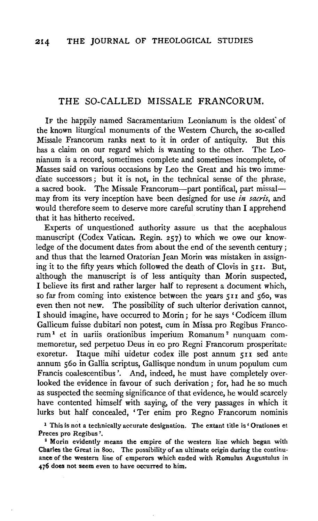# THE SO-CALLED MISSALE FRANCORUM.

IF the happily named Sacramentarium Leonianum is the oldest" of the known liturgical monuments of the Western Church, the so-called Missale Francorum ranks next to it in order of antiquity. But this has a claim on our regard which is wanting to the other. The Leonianum is a record, sometimes complete and sometimes incomplete, of Masses said on various occasions by Leo the Great and his two immediate successors; but it is not, in the technical sense of the phrase, a sacred book. The Missale Francorum-part pontifical, part missalmay from its very inception have been designed for use *in sacris,* and would therefore seem to deserve more careful scrutiny than I apprehend that it has hitherto received.

Experts of unquestioned authority assure us that the acephalous manuscript (Codex Vatican. Regin. 257) to which we owe our knowledge of the document dates from about the end of the seventh century; and thus that the learned Oratorian Jean Morin was mistaken in assigning it to the fifty years which followed the death of Clovis in 511. But, although the manuscript is of less antiquity than Morin suspected, I believe its first and rather larger half to represent a document which, so far from coming into existence between the years  $511$  and  $560$ , was even then not new. The possibility of such ulterior derivation cannot, I should imagine, have occurred to Morin; for he says 'Codicem ilium Gallicum fuisse dubitari non potest, cum in Missa pro Regibus Francorum 1 et in uariis orationibus imperium Romanum 2 nunquam commemoretur, sed perpetuo Deus in eo pro Regni Francorum prosperitate exoretur. Itaque mihi uidetur codex ille post annum 511 sed ante annum 56o in Gallia scriptus, Gallisque nondum in unum populum cum Francis coalescentibus '. And, indeed, he must have completely overlooked the evidence in favour of such derivation ; for, had he so much as suspected the seeming significance of that evidence, he would scarcely have contented himself with saying, of the very passages in which it lurks but half concealed, ' Ter enim pro Regno Francorum nominis

<sup>1</sup> This is not a technically accurate designation. The extant title is 'Orationes et Preces pro Regibus'.<br><sup>2</sup> Morin evidently means the empire of the western line which began with

Charles the Great in Soo. The possibility of an ultimate origin during the continuance of the western line of emperors which ended with Romulus Augustulus in 476 does not seem even to have occurred to him.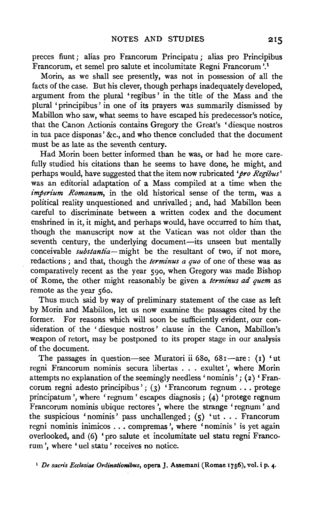preces fiunt ; alias pro Francorum Principatu ; alias pro Principibus Francorum, et semel pro salute et incolumitate Regni Francorum '.1

Morin, as we shall see presently, was not in possession of all the facts of the case. But his clever, though perhaps inadequately developed, argument from the plural 'regibus ' in the title of the Mass and the plural 'principibus ' in one of its prayers was summarily dismissed by Mabillon who saw, what seems to have escaped his predecessor's notice, that the Canon Actionis contains Gregory the Great's 'diesque nostros in tua pace disponas' &c., and who thence concluded that the document must be as late as the seventh century.

Had Morin been better informed than he was, or had he more carefully studied his citations than he seems to have done, he might, and perhaps would, have suggested that the item now rubricated *'pro Regibus'*  was an editorial adaptation of a Mass compiled at a time when the *imperium Romanum*, in the old historical sense of the term, was a political reality unquestioned and unrivalled; and, had Mabillon been careful to discriminate between a written codex and the document enshrined in it, it might, and perhaps would, have occurred to him that, though the manuscript now at the Vatican was not older than the seventh century, the underlying document-its unseen but mentally conceivable *substantia*-might be the resultant of two, if not more, redactions ; and that, though the *terminus a quo* of one of these was as comparatively recent as the year 590, when Gregory was made Bishop of Rome, the other might reasonably be given a *terminus ad quem* as remote as the year 560.

Thus much said by way of preliminary statement of the case as left by Morin and Mabillon, let us now examine the passages cited by the former. For reasons which will soon be sufficiently evident, our consideration of the ' diesque nostros' clause in the Canon, Mabillon's weapon of retort, may be postponed to its proper stage in our analysis of the document.

The passages in question-see Muratori ii 680, 681-are: (1) 'ut regni Francorum nominis secura libertas ... exultet ', where Morin attempts no explanation of the seemingly needless 'nominis'; (2) 'Francorum regni adesto principibus';  $(3)$  'Francorum regnum ... protege principatum ', where 'regnum ' escapes diagnosis ; (4) 'protege regnum Francorum nominis ubique rectores', where the strange 'regnum' and the suspicious 'nominis' pass unchallenged; (5) 'ut ... Francorum regni nominis inimicos . . . compremas ', where 'nominis' is yet again overlooked, and (6} 'pro salute et incolumitate uel statu regni Francorum ', where 'uel statu' receives no notice.

1 *De sacris Ecclesiae Ordinationibus,* opera J. Assemani (Romae 1756), vol. i p. **4·**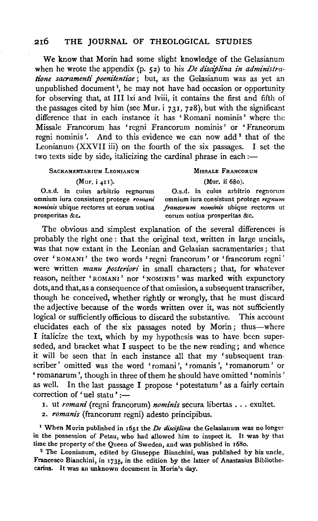### 216 THE JOURNAL OF THEOLOGICAL STUDIES

We know that Morin had some slight knowledge of the Gelasianum when he wrote the appendix (p. 52) to his *De disciplina in administratione sacramenti poenitentiae* ; but, as the Gelasianum was as yet an unpublished document<sup>1</sup>, he may not have had occasion or opportunity for observing that, at Ill lxi and lviii, it contains the first and fifth of the passages cited by him (see Mur. i  $731, 728$ ), but with the significant difference that in each instance it has 'Romani nominis' where the Missale Francorum has 'regni Francorum nominis ' or ' Francorum regni nominis'. And to this evidence we can now add<sup>2</sup> that of the Leonianum (XXVII iii) on the fourth of the six passages. I set the two texts side by side, italicizing the cardinal phrase in each  $:=$ 

#### SACRAMENTARIUM LEONIANUM

(Mur, i 411).

MISSALE FRANCORUM

(Mur. ii 680).

O.s.d. in cuius arbitrio regnorum omnium iura consistunt protege *romani nominis* ubique rectores ut eorum uotiua prosperitas &c.

O.s.d. in cuius arbitrio regnorum omnium iura consistunt protege *regnum francorum nominis* ubique rectores ut eorum uotiua prosperitas &c.

The obvious and simplest explanation of the several differences is probably the right one : that the original text, written in large uncials, was that now extant in the Leonian and Gelasian sacramentaries ; that over ' ROMANI ' the two words 'regni francorum ' or 'francorum regni ' were written *manu posteriori* in small characters ; that, for whatever reason, neither 'ROMANI ' nor 'NOMINIS ' was marked with expunctory dots, and that, as a consequence of that omission, a subsequent transcriber, though he conceived, whether rightly or wrongly, that he must discard the adjective because of the words written over it, was not sufficiently logical or sufficiently officious to discard the substantive. This account elucidates each of the six passages noted by Morin; thus-where I italicize the text, which by my hypothesis was to have been superseded, and bracket what I suspect to be the new reading; and whence it will be seen that in each instance all that my 'subsequent transcriber' omitted was the word 'romani', 'romanis', 'romanorum' or 'romanarum ', though in three of them he should have omitted 'nominis' as well. In the last passage I propose 'potestatum' as a fairly certain correction of 'uel statu' :-

I. ut *romani* (regni francorum) *nominis* secura libertas ... exultet.

2. *romanis* (francorum regni) adesto principibus.

1 When Morin published in 1651 the *De disciplina* the Gelasianum was no longer in the possession of Petau, who had allowed him to inspect it. It was by that

time the property of the Queen of Sweden, and was published in 1680.<br><sup>2</sup> The Leonianum, edited by Giuseppe Bianchini, was published by his uncle, Francesco Bianchini, in 1735, in the edition by the latter of Anastasius Bibliothecarius. It was an unknown document in Morin's day.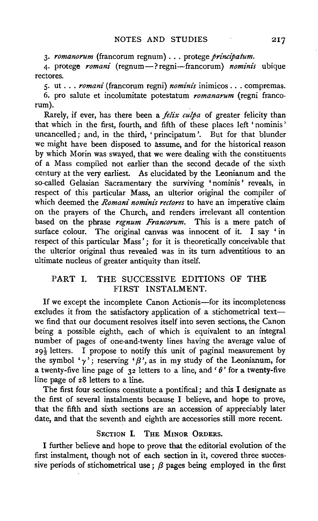3· *romanorum* (francorum regnum) ... protege *principatum.* 

4. protege *romani* (regnum-? regni-francorum) *nominis* ubique rectores.

5· ut ... *romani* (francorum regni) *nominis* inimicos ... compremas. 6. pro salute et incolumitate potestatum *romanarum* (regni francorum).

Rarely, if ever, has there been a *jelix culpa* of greater felicity than that which in the first, fourth, and fifth of these places left ' nominis ' uncancelled; and, in the third, 'principatum'. But for that blunder we might have been disposed to assume, and for the historical reason by which Morin was swayed, that we were dealing with the constituents of a Mass compiled not earlier than the second decade of the sixth century at the very earliest. As elucidated by the Leonianum and the so-called Gelasian Sacramentary the surviving 'nominis' reveals, in respect of this particular Mass, an ulterior original the compiler of which deemed the *Romani nominis rectores* to have an imperative claim on the prayers of the Church, and renders irrelevant all contention based on the phrase *regnum Francorum.* This is a mere patch of surface colour. The original canvas was innocent of it. I say 'in respect of this particular Mass'; for it is theoretically conceivable that the ulterior original thus revealed was in its turn adventitious to an ultimate nucleus of greater antiquity than itself.

## PART I. THE SUCCESSIVE EDITIONS OF THE FIRST INSTALMENT.

If we except the incomplete Canon Actionis-for its incompleteness excludes it from the satisfactory application of a stichometrical textwe find that our document resolves itself into seven sections, the Canon being a possible eighth, each of which is equivalent to an integral number of pages of one-and-twenty lines having the average value of  $29\frac{1}{3}$  letters. I propose to notify this unit of paginal measurement by the symbol ' $\gamma$ '; reserving ' $\beta$ ', as in my study of the Leonianum, for a twenty-five line page of  $32$  letters to a line, and ' $\theta$ ' for a twenty-five line page of 28 letters to a line.

The first four sections constitute a pontifical; and this I designate as the first of several instalments because I believe, and hope to prove, that the fifth and sixth sections are an accession of appreciably later date, and that the seventh and eighth are accessories still more recent.

#### SECTION I. THE MINOR ORDERS.

I further believe and hope to prove that the editorial evolution of the first instalment, though not of each section in it, covered three successive periods of stichometrical use :  $\beta$  pages being employed in the first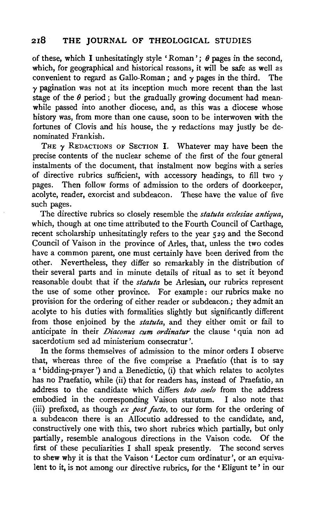of these, which I unhesitatingly style 'Roman';  $\theta$  pages in the second, which, for geographical and historical reasons, it will be safe as well as convenient to regard as Gallo-Roman; and  $\gamma$  pages in the third. The  $\gamma$  pagination was not at its inception much more recent than the last stage of the  $\theta$  period; but the gradually growing document had meanwhile passed into another diocese, and, as this was a diocese whose history was, from more than one cause, soon to be interwoven with the fortunes of Clovis and his house, the  $\gamma$  redactions may justly be denominated Frankish.

THE  $\gamma$  REDACTIONS OF SECTION I. Whatever may have been the precise contents of the nuclear scheme of the first of the four general instalments of the document, that instalment now begins with a series of directive rubrics sufficient, with accessory headings, to fill two *y*  pages. Then follow forms of admission to the orders of doorkeeper, acolyte, reader, exorcist and subdeacon. These have the value of five such pages.

The directive rubrics so closely resemble the *statuta ecclesiae antiqua*, which, though at one time attributed to the Fourth Council of Carthage, recent scholarship unhesitatingly refers to the year 529 and the Second Council of Vaison in the province of Aries, that, unless the two codes have a common parent, one must certainly have been derived from the other. Nevertheless, they differ so remarkably in the distribution of their several parts and in minute details of ritual as to set it beyond reasonable doubt that if the *statuta* be Arlesian, our rubrics represent the use of some other province. For example: our rubrics make no provision for the ordering of either reader or subdeacon.; they admit an acolyte to his duties with formalities slightly but significantly different from those enjoined by the *statuta,* and they either omit or fail to anticipate in their *Diaconus cum ordinatur* the clause 'quia non ad sacerdotium sed ad ministerium consecratur '.

In the forms themselves of admission to the minor orders I observe that, whereas three of the five comprise a Praefatio (that is to say a 'bidding-prayer') and a Benedictio, (i) that which relates to acolytes has no Praefatio, while (ii) that for readers has, instead of Praefatio, an address to the candidate which differs *toto coelo* from the address embodied in the corresponding Vaison statutum. I also note that (iii) prefixed, as though *ex post facto,* to our form for the ordering of a. subdeacon there is an Alfocutio addressed to the candidate, and, constructively one with this, two short rubrics which partially, but only partially, resemble analogous directions in the Vaison code. Of the first of these peculiarities I shall speak presently. The second serves to shew why it is that the Vaison 'Lector cum ordinatur', or an equivalent to it, is not among our directive rubrics, for the ' Eligunt te' in our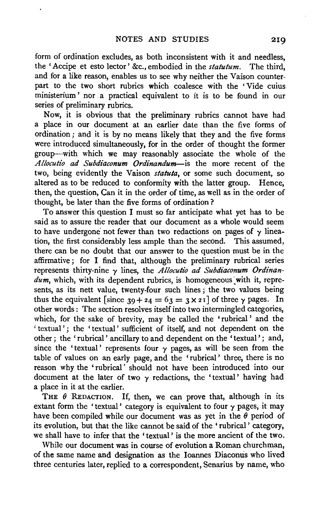form of ordination excludes, as both inconsistent with it and needless, the 'Accipe et esto lector' &c., embodied in the *statutum.* The third, and for a like reason, enables us to see why neither the Vaison counterpart to the two short rubrics which coalesce with the 'Vide cuius ministerium ' nor a practical equivalent to it is to be found in our series of preliminary rubrics.

Now, it is obvious that the preliminary rubrics cannot have had a place in our document at an earlier date than the five forms of ordination ; and it is by no means likely that they and the five forms were introduced simultaneously, for in the order of thought the former group-with which we may reasonably associate the whole of the *Allocutio ad Subdiaconum Ordinandum-is* the more recent of the two, being evidently the Vaison *statuta,* or some such document, so altered as to be reduced to conformity with the latter group. Hence, then, the question, Can it in the order of time, as well as in the order of thought, be later than the five forms of ordination?

To answer this question I must so far anticipate what yet has to be said as to assure the reader that our document as a whole would seem to have undergone not fewer than two redactions on pages of  $\gamma$  lineation, the first considerably less ample than the second. This assumed, there can be no doubt that our answer to the question must be in the affirmative; for I find that, although the preliminary rubrical series represents thirty-nine y lines, the *Allocutio ad Subdiaconum Ordinan* $dum$ , which, with its dependent rubrics, is homogeneous with it, represents, as its nett value, twenty-four such lines ; the two values being thus the equivalent [since  $39 + 24 = 63 = 3 \times 21$ ] of three  $\gamma$  pages. In other words : The section resolves itself into two intermingled categories, which, for the sake of brevity, may be called the 'rubrical ' and the 'textual'; the 'textual' sufficient of itself, and not dependent on the other; the ' rubrical' ancillary to and dependent on the 'textual' ; and, since the 'textual' represents four  $\gamma$  pages, as will be seen from the table of values on an early page, and the 'rubrical' three, there is no reason why the 'rubrical' should not have been introduced into our document at the later of two  $\gamma$  redactions, the 'textual' having had a place in it at the earlier.

THE  $\theta$  REDACTION. If, then, we can prove that, although in its extant form the 'textual' category is equivalent to four  $\gamma$  pages, it may have been compiled while our document was as yet in the  $\theta$  period of its evolution, but that the like cannot be said of the ' rubrical ' category, we shall have to infer that the 'textual' is the more ancient of the two.

While our document was in course of evolution a Roman churchman, of the same name and designation as the Ioannes Diacomis who lived three centuries later, replied to a correspondent, Senarius by name, who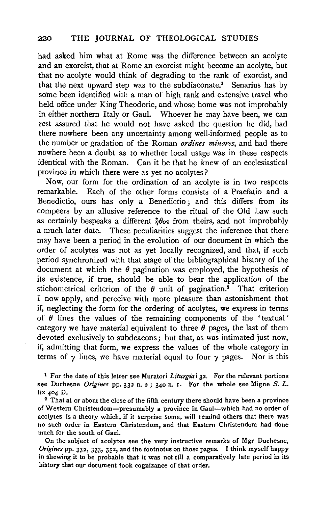had asked him what at Rome was the difference between an acolyte and an exorcist, that at Rome an exorcist might become an acolyte, but that no acolyte would think of degrading to the rank of exorcist, and that the next upward step was to the subdiaconate.<sup>1</sup> Senarius has by some been identified with a man of high rank and extensive travel who held office under King Theodoric, and whose home was not improbably in either northern Italy or Gaul. Whoever he may have been, we can rest assured that he would not have asked the question he did, had there nowhere been any uncertainty among well-informed people as to the number or gradation of the Roman *ordines minores*, and had there nowhere been a doubt as to whether local usage was in these respects identical with the Roman. Can it be that he knew of an ecclesiastical province in which there were as yet no acolytes?

Now, our form for the ordination of an acolyte is in two respects remarkable. Each of the other forms consists of a Praefatio and a Benedictio, ours has only a Benedictio; and this differs from its compeers by an allusive reference to the ritual of the Old Law such as certainly bespeaks a different  $\partial \theta$ os from theirs, and not improbably a much later date. These peculiarities suggest the inference that there may have been a period in the evolution of our document in which the order of acolytes was not as yet locally recognized, and that, if such period synchronized with that stage of the bibliographical history of the document at which the  $\theta$  pagination was employed, the hypothesis of its existence, if true, should be able to bear the application of the stichometrical criterion of the  $\theta$  unit of pagination.<sup>2</sup> That criterion I now apply, and perceive with more pleasure than astonishment that if, neglecting the form for the ordering of acolytes, we express in terms of  $\theta$  lines the values of the remaining components of the 'textual' category we have material equivalent to three  $\theta$  pages, the last of them devoted exclusively to subdeacons; but that, as was intimated just now, if, admitting that form, we express the values of the whole category in terms of  $\gamma$  lines, we have material equal to four  $\gamma$  pages. Nor is this

1 For the date of this letter see Muratori *Liturgia* i 32. For the relevant portions see Duchesne *Origines* pp. 332 n. 2 ; 340 n. 1. For the whole see Migne *S.* L. lix 404 D.<br><sup>2</sup> That at or about the close of the fifth century there should have been a province

of Western Christendom-presumably a province in Gaul-which had no order of acolytes is a theory which, if it surprise some, will remind others that there was no such order in Eastern Christendom, and that Eastern Christendom had done much for the south of Gaul.

On the subject of acolytes see the very instructive remarks of Mgr Duchesne, *Origines* pp. 332, 333, 352, and the footnotes on those pages. I think myself happy in shewing it to be probable that it was not till a comparatively late period in its history that our document took cognizance of that order.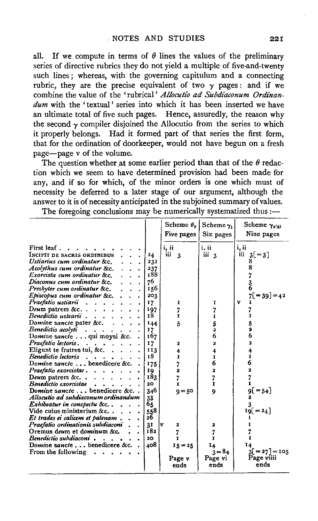all. If we compute in terms of  $\theta$  lines the values of the preliminary series of directive rubrics they do not yield a multiple of five-and-twenty such lines; whereas, with the governing capitulum and a connecting rubric, they are the precise equivalent of two  $\gamma$  pages: and if we combine the value of the 'rubrical' *Allocutio ad Subdiaconum Ordinandum* with the 'textual' series into which it has been inserted we have an ultimate total of five such pages. Hence, assuredly, the reason why the second  $\gamma$  compiler disjoined the Allocutio from the series to which it properly belongs. Had it formed part of that series the first form, that for the ordination of doorkeeper, would not have begun on a fresh page-page v of the volume.

The question whether at some earlier period than that of the  $\theta$  redaction which we seem to have determined provision had been made for any, and if so for which, of the minor orders is one which must of necessity be deferred to a later stage of our argument, although the answer to it is of necessity anticipated in the subjoined summary of values.

|                                                                                                                                                                                                                                                                                                                                                                                                                                                                                                                                                                                                                                                                                                                                                                                                                                                                                      |                                                                                                                                                                                                 | Scheme $\theta_{2}$  <br>Five pages                                                                                                                             | Scheme $\gamma_1$<br>Six pages                                                                                                                     | Scheme $\gamma_{2(3)}$<br>Nine pages                                                                                                      |
|--------------------------------------------------------------------------------------------------------------------------------------------------------------------------------------------------------------------------------------------------------------------------------------------------------------------------------------------------------------------------------------------------------------------------------------------------------------------------------------------------------------------------------------------------------------------------------------------------------------------------------------------------------------------------------------------------------------------------------------------------------------------------------------------------------------------------------------------------------------------------------------|-------------------------------------------------------------------------------------------------------------------------------------------------------------------------------------------------|-----------------------------------------------------------------------------------------------------------------------------------------------------------------|----------------------------------------------------------------------------------------------------------------------------------------------------|-------------------------------------------------------------------------------------------------------------------------------------------|
| First leaf.<br>INCIPIT DE SACRIS ORDINIBUS<br>Ustiarius cum ordinatur &c.<br>Acolythus cum ordinatur &c.<br>Exorcista cum ordinatur &c.<br>Diaconus cum ordinatur &c.<br>Presbyter cum ordinatur &c.<br>Episcopus cum ordinatur &c<br>Praefatio ustiarii<br>Deum patrem &c. $\ldots$ , $\ldots$<br>Benedictio ustearii<br>Domine sancte pater &c. .<br>Benedictio acolyti<br>Domine sancte qui moysi &c.<br>Praefatio lectoris,<br>Eligunt te fratres tui, &c<br>Benedictio lectoris.<br>Domine sancte benedicere &c.<br>Praefatio exorcistae<br>Deum patrem &c. $\ldots$ , $\ldots$<br>Benedictio exorcistae<br>Domine sancte benedicere &c. .<br>Allocutio ad subdiaconum ordinandum<br>Exhibeatur in conspectu &c.,<br>Vide cuius ministerium &c<br>Et trades ei calicem et patenam.<br>Praefatio ordinationis subdiaconi<br>Oremus deum et dominum &c.<br>Benedictio subdiaconi. | 24<br>231<br>237<br>188<br>76<br>156<br>203<br>17<br>197<br>18<br>144<br>17<br>167<br>17<br>113<br>18<br>175<br>19<br>183<br>20<br>346<br>33<br>65<br>558<br>26<br>31<br>182<br>20 <sub>o</sub> | i, ii<br>шi<br>$\overline{\mathbf{3}}$<br>I<br>7<br>$\mathbf{r}$<br>5<br>2<br>4<br>I<br>7<br>$\overline{\mathbf{z}}$<br>7<br>ı<br>$9 = 50$<br>lv<br>2<br>7<br>т | i, ii<br>iii 3<br>1<br>I<br>5<br>$\boldsymbol{2}$<br>6<br>2<br>4<br>I<br>6<br>2<br>7<br>$\mathbf{r}$<br>$\boldsymbol{Q}$<br>2<br>7<br>$\mathbf{r}$ | i, ii<br>iii $3[-3]$<br>8<br>$7[-39] = 42$<br>$\mathbf{v}$<br>I<br>5<br>6<br>2<br>4<br>ı<br>6<br>2<br>7<br>$9[ = 54]$<br>$19[ = 24]$<br>1 |
| Domine sancte benedicere &c. .<br>From the following                                                                                                                                                                                                                                                                                                                                                                                                                                                                                                                                                                                                                                                                                                                                                                                                                                 | 408                                                                                                                                                                                             | $15 = 25$<br>Page v<br>ends                                                                                                                                     | 14<br>$3 = 84$<br>Page vi<br>ends                                                                                                                  | 14<br>$3[=27] = 105$<br>Page viiii<br>ends                                                                                                |

The foregoing conclusions may be numerically systematized thus  $:$ --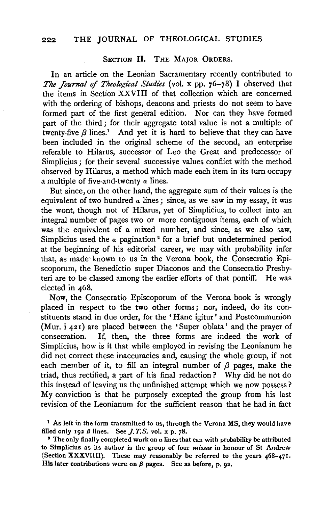### SECTION II. THE MAJOR ORDERS.

In an article on the Leonian Sacramentary recently contributed to *The Journal* of *Theological Studies* (vol. x pp. 76-78) I observed that the items in Section XXVIII of that collection which are concerned with the ordering of bishops, deacons and priests do not seem to have formed part of the first general edition. Nor can they have formed part of the third ; for their aggregate total value is not a multiple of twenty-five  $\beta$  lines.<sup>1</sup> And yet it is hard to believe that they can have been included in the original scheme of the second, an enterprise referable to Hilarus, successor of Leo the Great and predecessor of Simplicius ; for their several successive values conflict with the method observed by Hilarus, a method which made each item in its turn occupy a multiple of five-and-twenty *a* lines.

But since, on the other hand, the aggregate sum of their values is the equivalent of two hundred *a* lines; since, as we saw in my essay, it was the wont, though not of Hilarus, yet of Simplicius, to collect into an integral number of pages two or more contiguous items, each of which was the equivalent of a mixed number, and since, as we also saw, Simplicius used the *a* pagination 2 for a brief but undetermined period at the beginning of his editorial career, we may with probability infer that, as made· known to us in the Verona book, the Consecratio Episcoporum, the Benedictio super Diaconos and the Consecratio Presbyteri are to be classed among the earlier efforts of that pontiff. He was elected in 468.

Now, the Consecratio Episcoporum of the Verona book is wrongly placed in respect to the two other forms; nor, indeed, do its constituents stand in due order, for the 'Hanc igitur' and Postcommunion (Mur. i 421) are placed between the 'Super oblata' and the prayer of consecration. If, then, the three forms are indeed the work of Simplicius, how is it that while employed in revising the Leonianum he did not correct these inaccuracies and, causing the whole group, if not each member of it, to fill an integral number of  $\beta$  pages, make the triad, thus rectified, a part of his final redaction ? Why did he not do this instead of leaving us the unfinished attempt which we now possess ? My conviction is that he purposely excepted the group from his last revision of the Leonianum for the sufficient reason that he had in fact

<sup>1</sup> As left in the form transmitted to us, through the Verona MS, they would have filled only 192  $\beta$  lines. See J.T.S. vol. x p. 78.

• The only finally completed work on *a* lines that can with probability be attributed to Simplicius as its author is the group of four *missae* in honour of St Andrew (Section XXXVIIII). These may reasonably be referred to the years 468-471. His later contributions were on  $\beta$  pages. See as before, p. 92.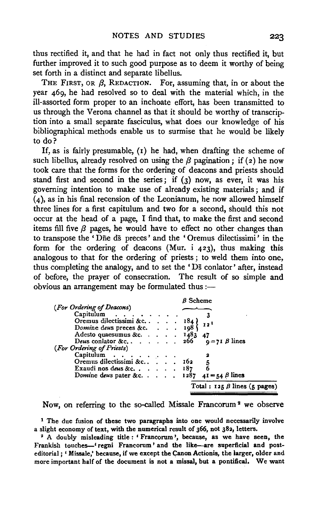thus rectified it, and that he had in fact not only thus rectified it, but further improved it to such good purpose as to deem it worthy of being set forth in a distinct and separate libellus.

THE FIRST, OR  $\beta$ , REDACTION. For, assuming that, in or about the year 469, he had resolved so to deal with the material which, in the ill-assorted form proper to an inchoate effort, has been transmitted to us through the Verona channel as that it should be worthy of transcription into a small separate fasciculus, what does our knowledge of his bibliographical methods enable us to surmise that he would be likely to do?

If, as is fairly presumable,  $(t)$  he had, when drafting the scheme of such libellus, already resolved on using the  $\beta$  pagination; if (2) he now took care that the forms for the ordering of deacons and priests should stand first and second in the series; if  $(3)$  now, as ever, it was his governing intention to make use of already existing materials ; and if (4), as in his final recension of the Leonianum, he now allowed himself three lines for a first capitulum and two for a second, should this not occur at the head of a page, I find that, to make the first and second items fill five  $\beta$  pages, he would have to effect no other changes than to transpose the ' Dne ds preces' and the ' Oremus dilectissimi' in the form for the ordering of deacons (Mur. i 423), thus making this analogous to that for the ordering of priests ; to weld them into one, thus completing the analogy, and to set the 'Ds conlator' after, instead of before, the prayer of consecration. The result of so simple and obvious an arrangement may be formulated thus  $:$ --

|  |           | $\beta$ Scheme                                                                                                                                |
|--|-----------|-----------------------------------------------------------------------------------------------------------------------------------------------|
|  |           |                                                                                                                                               |
|  |           |                                                                                                                                               |
|  |           | 12 <sup>1</sup>                                                                                                                               |
|  |           |                                                                                                                                               |
|  |           | Adesto quaesumus &c. 1483 47                                                                                                                  |
|  |           | Deus conlator &c $266 \quad q = 71 \beta$ lines                                                                                               |
|  |           |                                                                                                                                               |
|  |           |                                                                                                                                               |
|  |           |                                                                                                                                               |
|  |           | 5<br>6                                                                                                                                        |
|  |           | Domine deus pater &c 1287 $4I = 54 \beta$ lines                                                                                               |
|  |           | Total: $125 \beta$ lines (5 pages)                                                                                                            |
|  | Capitulum | Capitulum<br>Oremus dilectissimi &c. 184 }<br>Domine deus preces &c. $\ldots$ 198<br>Oremus dilectissimi &c., 162<br>Exaudi nos deus & c. 187 |

Now, on referring to the so-called Missale Francorum 2 we observe

<sup>1</sup> The due fusion of these two paragraphs into one would necessarily involve a slight economy of text, with the numerical result of 366, not 382, letters.

<sup>2</sup> A doubly misleading title : ' Francorum', because, as we have seen, the Frankish touches-' regni Francorum' and the like-are superficial and posteditorial ; ' Missale,' because, if we except the Canon Actionis, the larger, older and more important half of the document is not a missal, but a pontifical. We want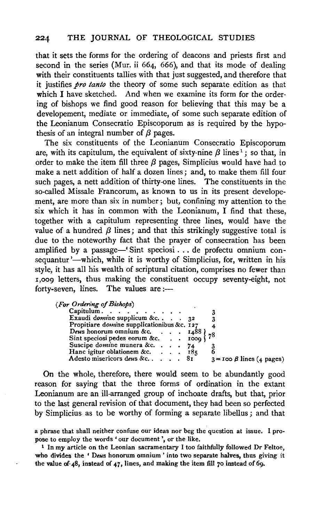that it sets the forms for the ordering of deacons and priests first and second in the series (Mur. ii 664, 666), and that its mode of dealing with their constituents tallies with that just suggested, and therefore that it justifies *pro tanto* the theory of some such separate edition as that which I have sketched. And when we examine its form for the ordering of bishops we find good reason for believing that this may be a developement, mediate or immediate, of some such separate edition of the Leonianum Consecratio Episcoporum as is required by the hypothesis of an integral number of  $\beta$  pages.

The six constituents of the Leonianum Consecratio Episcoporum are, with its capitulum, the equivalent of sixty-nine  $\beta$  lines<sup>1</sup>; so that, in order to make the item fill three  $\beta$  pages, Simplicius would have had to make a nett addition of half a dozen lines ; and, to make them fill four such pages, a nett addition of thirty-one lines. The constituents in the so-called Missale Francorum, as known to us in its present developement, are more than six in number ; but, confining my attention to the six which it has in common with the Leonianum, I find that these, together with a capitulum representing three lines, would have the value of a hundred  $\beta$  lines; and that this strikingly suggestive total is due to the noteworthy fact that the prayer of consecration has been amplified by a passage—' Sint speciosi . . . de profectu omnium consequantur '-which, while it is worthy of Simplicius, for, written in his style, it has all his wealth of scriptural citation, comprises no fewer than r,oo9 letters, thus making the constituent occupy seventy-eight, not forty-seven, lines. The values are :---

|  |  | (For Ordering of Bishops) |
|--|--|---------------------------|
|  |  |                           |

| Capitulum.                                                                   |  |  |                                    |
|------------------------------------------------------------------------------|--|--|------------------------------------|
| Exaudi domine supplicum &c. $\ldots$ 32                                      |  |  |                                    |
| Propitiare domine supplicationibus &c. 127                                   |  |  |                                    |
|                                                                              |  |  |                                    |
| Deus honorum omnium &c. 1488 } 78<br>Sint speciosi pedes eorum &c. 1009 } 78 |  |  |                                    |
| Suscipe domine munera &c. $\ldots$ , 74                                      |  |  |                                    |
| Hanc igitur oblationem &c. $\therefore$ $185$                                |  |  |                                    |
| Adesto misericors deus &c 81                                                 |  |  | $3 = I$ oo $\beta$ lines (4 pages) |
|                                                                              |  |  |                                    |

On the whole, therefore, there would seem to be abundantly good reason for saying that the three forms of ordination in the extant Leonianum are an ill-arranged group of inchoate drafts, but that, prior to the last general revision of that document, they had been so perfected by Simplicius as to be worthy of forming a separate libellus; and that

a phrase that shall neither confuse our ideas nor beg the question at issue. I pro· pose to employ the words 'our document', or the like.

<sup>&</sup>lt;sup>1</sup> In my article on the Leonian sacramentary I too faithfully followed Dr Feltoe, who divides the ' *Deus* bonorum omnium ' into two separate halves, thus giving it the value of  $48$ , instead of  $47$ , lines, and making the item fill 70 instead of 69.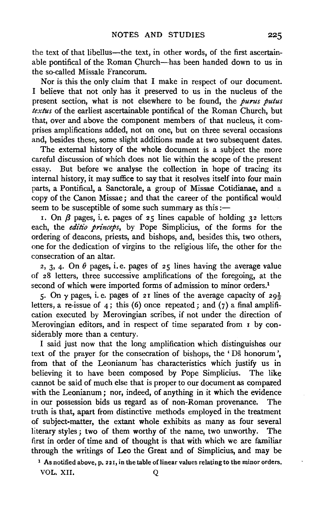the text of that libellus-the text, in other words, of the first ascertainable pontifical of the Roman Church-has been handed down to us in the so-called Missale Francorum.

Nor is this the only claim that I make in respect of our document. I believe that not only has it preserved to us in the nucleus of the present section, what is not elsewhere to be found, the *purus putus textus* of the earliest ascertainable pontifical of the Roman Church, but that, over and above the component members of that nucleus, it comprises amplifications added, not on one, but on three several occasions and, besides these, some slight additions made at two subsequent dates.

The external history of the whole document is a subject the more careful discussion of which does not lie within the scope of the present essay. But before we analyse the collection in hope of tracing its internal history, it may suffice to say that it resolves itself into four main parts, a Pontifical, a Sanctorale, a group of Missae Cotidianae, and a copy of the Canon Missae; and that the career of the pontifical would seem to be susceptible of some such summary as this  $:$ 

r. On  $\beta$  pages, i.e. pages of 25 lines capable of holding 32 letters each, the *editio princeps*, by Pope Simplicius, of the forms for the ordering of deacons, priests, and bishops, and, besides this, two others, one for the dedication of virgins to the religious life, the other for the consecration of an altar.

2, 3, 4. On  $\theta$  pages, i.e. pages of 25 lines having the average value of 28 letters, three successive amplifications of the foregoing, at the second of which were imported forms of admission to minor orders.<sup>1</sup>

5. On  $\gamma$  pages, i.e. pages of 21 lines of the average capacity of  $29\frac{1}{3}$ letters, a re-issue of 4; this (6) once repeated; and (7) a final amplification executed by Merovingian scribes, if not under the direction of Merovingian editors, and in respect of time separated from 1 by considerably more than a century.

I said just now that the long amplification which distinguishes our text of the prayer for the consecration of bishops, the 'Ds honorum', from that of the Leonianum "has characteristics which justify us in believing it to have been composed by Pope Simplicius. The like cannot be said of much else that is proper to our document as compared with the Leonianum; nor, indeed, of anything in it which the evidence in our possession bids us regard as of non-Roman provenance. The truth is that, apart from distinctive methods employed in the treatment of subject-matter, the extant whole exhibits as many as four several literary styles; two of them worthy of the name, two unworthy. The first in order of time and of thought is that with which we are familiar through the writings of Leo the Great and of Simplicius, and may be

<sup>1</sup> As notified above, p. 221, in the table of linear values relating to the minor orders. VOL. XII. Q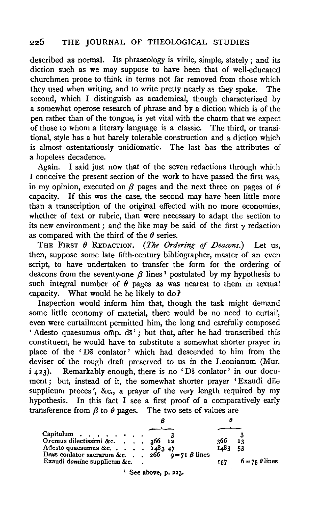#### 226 THE JOURNAL OF THEOLOGICAL STUDIES

described as normal. Its phraseology is virile, simple, stately; and its diction such as we may suppose to have been that of well-educated churchmen prone to think in terms not far removed from those which they used when writing, and to write pretty nearly as they spoke. The second, which I distinguish as academical, though characterized by a somewhat operose research of phrase and by a diction which is of the pen rather than of the tongue, is yet vital with the charm that we expect of those to whom a literary language is a classic. The third, or transitional, style has a but barely tolerable construction and a diction which is almost ostentatiously unidiomatic. The last has the attributes of a hopeless decadence.

Again. I said just now that of the seven redactions through which I conceive the present section of the work to have passed the first was, in my opinion, executed on  $\beta$  pages and the next three on pages of  $\theta$ capacity. If this was the case, the second may have been little more than a transcription of the original effected with no more economies, whether of text or rubric, than were necessary to adapt the section to its new environment; and the like may be said of the first  $\gamma$  redaction as compared with the third of the  $\theta$  series.

THE FIRST  $\theta$  REDACTION. (The Ordering of Deacons.) Let us, then, suppose some late fifth-century bibliographer, master of an even script, to have undertaken to transfer the form for the ordering of deacons from the seventy-one  $\beta$  lines<sup>1</sup> postulated by my hypothesis to such integral number of  $\theta$  pages as was nearest to them in textual ~apacity. What would he be likely to do ?

Inspection would inform him that, though the task might demand some little economy of material, there would be no need to curtail, even were curtailment permitted him, the long and carefully composed 'Adesto quaesumus omp. ds'; but that, after he had transcribed this constituent, he would have to substitute a somewhat shorter prayer in place of the 'Ds conlator' which had descended to him from the deviser of the rough draft preserved to us in the Leonianum (Mur. i 423). Remarkably enough, there is no 'Ds conlator' in our document; but, instead of it, the somewhat shorter prayer 'Exaudi dne supplicum preces', &c., a prayer of the very length required by my hypothesis. In this fact I see a first proof of a comparatively early transference from  $\beta$  to  $\theta$  pages. The two sets of values are

| Capitulum $\cdots$<br>Oremus dilectissimi &c. 366 12<br>Adesto quaesumus &c. $\ldots$ $\ldots$ 1483 47<br>Deus conlator sacrarum &c. 266 $q = 71 \beta$ lines<br>Exaudi domine supplicum &c. |  | 366<br>1483<br>157 | 13<br>-53<br>$6 = 75 \theta$ lines |
|----------------------------------------------------------------------------------------------------------------------------------------------------------------------------------------------|--|--------------------|------------------------------------|

 $<sup>1</sup>$  See above, p. 223.</sup>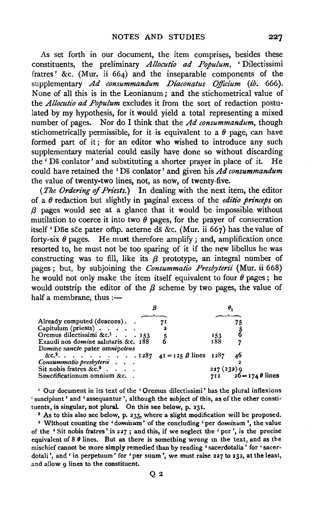As set forth in our document, the item comprises, besides these constituents, the preliminary *Allocutio ad Populum,* ' Dilectissimi fratres' &c. (Mur. ii 664) and the inseparable components of the supplementary *Ad consummandum Diaconatus Officium (ib.* 666). None of all this is in the Leonianum; and the stichometrical value of the *Allocutio ad Populum* excludes it from the sort of redaction postulated by my hypothesis, for it would yield a total representing a mixed number of pages. Nor do I think that the *Ad consummandum,* though stichometrically permissible, for it is equivalent to a  $\theta$  page, can have formed part of it; for an editor who wished to introduce any such supplementary material could easily have done so without discarding the ' Ds conlator' and substituting a shorter prayer in place of it. He could have retained the 'Ds conlator' and given his *Ad consummandum*  the value of twenty-two lines, not, as now, of twenty-five.

*(The Ordering of Priests.)* In dealing with the next item, the editor of a *0* redaction but slightly in paginal excess of the *editio princeps* on *{3* pages· would see at a glance that it would be impossible without mutilation to coerce it into two  $\theta$  pages, for the prayer of consecration itself 'Dne sce pater omp. aeterne ds &c. (Mur. ii 667) has the value of forty-six  $\theta$  pages. He must therefore amplify ; and, amplification once resorted to, he must not be too sparing of it if the new libellus he was constructing was to fill, like its  $\beta$  prototype, an integral number of pages ; but, by subjoining the *Consummatio Presbyterii* (Mur. ii 668) he would not only make the item itself equivalent to four  $\theta$  pages; he would outstrip the editor of the  $\beta$  scheme by two pages, the value of half a membrane, thus  $:$ ---

| Already computed (deacons)                          |  |             |                       |
|-----------------------------------------------------|--|-------------|-----------------------|
| Capitulum (priests) $\cdots$ .                      |  |             |                       |
| Oremus dilectissimi &c. <sup>1</sup> 153            |  | 153         |                       |
| Exaudi nos domine salutaris &c. 188                 |  | 188         |                       |
| Domine sancte pater omnipotens                      |  |             |                       |
| &c. <sup>2</sup> 1287 $4I = 125 \beta$ lines $1287$ |  |             | 46                    |
| Consummatio presbyterii                             |  |             |                       |
| Sit nobis fratres &c. <sup>3</sup>                  |  | 227 (232) 9 |                       |
| Sanctificationum omnium &c.                         |  |             | 711 $26 = 1740$ lines |

<sup>1</sup> Our document in its text of the 'Oremus dilectissimi' has the plural inflexions 'suscipiunt' and 'assequantur ', although the subject of this, as of the other constituents, is singular, not plural. On this see below, p. 231.

<sup>2</sup> As to this also see below, p. 233, where a slight modification will be proposed.

' Without counting the *'dominum'* of the concluding 'per *dominum* ', the value of the 'Sit nobis fratres' is 227 ; and this, if we neglect the 'per', is the precise equivalent of  $8 \theta$  lines. But as there is something wrong in the text, and as the mischief cannot be more simply remedied than by reading 'sacerdotalia' for 'sacerdotali', and 'in perpetuum' for 'per suum', we must raise 227 to 232, at the least, and allow 9 lines to the constituent.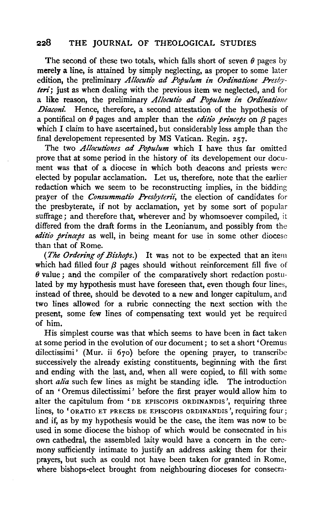# 228 THE JOURNAL OF THEOLOGICAL STUDIES

The second of these two totals, which falls short of seven  $\theta$  pages by merely a line, is attained by simply neglecting, as proper to some later edition, the preliminary *Allocutio ad Populum in Ordinatione Presbyteri;* just as when dealing with the previous item we neglected, and for a like reason, the preliminary *Allocutio ad Populum in Ordinatione .Diaconi.* Hence, therefore, a second attestation of the hypothesis of a pontifical on  $\theta$  pages and ampler than the *editio* princeps on  $\beta$  pages which I claim to have ascertained, but considerably less ample than the final developement represented by MS Vatican. Regin. 257.

The two *Allocutiones ad Populum* which I have thus far omitted prove that at some period in the history of its developement our document was that of a diocese in which both deacons and priests were elected by popular acclamation. Let us, therefore, note that the earlier redaction which we seem to be reconstructing implies, in the bidding prayer of the *Consummatio Presbyterii,* the election of candidates for the presbyterate, if not by acclamation, yet by some sort of popular suffrage; and therefore that, wherever and by whomsoever compiled, it differed from the draft forms in the Leonianum, and possibly from the *8ditio princeps* as well, in being meant for use in some other diocese than that of Rome.

*(The Ordering of Bishops.)* It was not to be expected that an item which had filled four  $\beta$  pages should without reinforcement fill five of  $\theta$  value; and the compiler of the comparatively short redaction postulated by my hypothesis must have foreseen that, even though four lines, instead of three, should be devoted to a new and longer capitulum, and two lines allowed for a rubric connecting the next section with the present, some few lines of compensating text would yet be required of him.

His simplest course was that which seems to have been in fact taken at some period in the evolution of our document; to set a short 'Oremus dilectissimi' (Mur. ii 67o) before the opening prayer, to transcribe successively the already existing constituents, beginning with the first and ending with the last, and, when all were copied, to fill with some short *alia* such few lines as might be standing idle. The introduction of an ' Oremus dilectissimi' before the first prayer would allow him to alter the capitulum from 'DE EPISCOPIS ORDINANDIS ', requiring three lines, to 'ORATIO ET PRECES DE EPISCOPIS ORDINANDIS', requiring four; and if, as by my hypothesis would be the case, the item was now to be used in some diocese the bishop of which would be consecrated in his own cathedral, the assembled laity would have a concern in the ceremony sufficiently intimate to justify an address asking them for their prayers, but such as could not have been taken for granted in Rome, where bishops-elect brought from neighbouring dioceses for consecra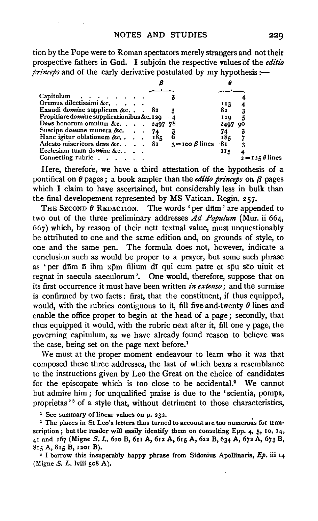tion by the Pope were to Roman spectators merely strangers and not their prospective fathers in God. I subjoin the respective values of the *editio*   $\hat{p}$ *princeps* and of the early derivative postulated by my hypothesis :—

| Capitulum                                            |  |                            |      |                   |
|------------------------------------------------------|--|----------------------------|------|-------------------|
| Oremus dilectissimi &c.                              |  |                            | 113  |                   |
| Exaudi domine supplicum &c 82                        |  |                            | 82   |                   |
| Propitiare domine supplicationibus &c. 120 $\cdot$ 4 |  |                            | 120  |                   |
| Deus honorum omnium &c. 2497 78                      |  |                            | 2497 | 90                |
| Suscipe domine munera &c.                            |  |                            |      |                   |
| Hanc igitur oblationem &c. 185                       |  |                            | 184  |                   |
| Adesto misericors deus &c. 81                        |  | $3 = 100 \beta$ lines $81$ |      |                   |
| Ecclesiam tuam domine &c                             |  |                            | 115  |                   |
| Connecting rubric                                    |  |                            |      | $2 = 125$ θ lines |

Here, therefore, we have a third attestation of the hypothesis of a pontifical on  $\theta$  pages; a book ampler than the *editio princeps* on  $\beta$  pages which I claim to have ascertained, but considerably less in bulk than the final developement represented by MS Vatican. Regin. 257.

THE SECOND  $\theta$  REDACTION. The words 'per dfim' are appended to two out of the three preliminary addresses *Ad Populum* (Mur. ii 664, 667) which, by reason of their nett textual value, must unquestionably be attributed to one and the same edition and, on grounds of style, to one and the same pen. The formula does not, however, indicate a conclusion such as would be proper to a prayer, but some such phrase as ' per dfim fi ihm xpm filium di qui cum patre et spu sco uiuit et regnat in saecula saeculorum '. One would, therefore, suppose that on its first occurrence it must have been written *in extenso;* and the surmise is confirmed by two facts : first, that the constituent, if thus equipped, would, with the rubrics contiguous to it, fill five-and-twenty  $\theta$  lines and enable the office proper to begin at the head of a page; secondly, that thus equipped it would, with the rubric next after it, fill one  $\gamma$  page, the governing capitulum, as we have already found reason to believe was the case, being set on the page next before.1

We must at the proper moment endeavour to learn who it was that composed these three addresses, the last of which bears a resemblance to the instructions given by Leo the Great on the choice of candidates for the episcopate which is too close to be accidental.<sup>2</sup> We cannot but admire him ; for unqualified praise is due to the 'scientia, pompa, proprietas 's of a style that, without detriment to those characteristics,

<sup>1</sup> See summary of linear values on p. 232.

<sup>2</sup> The places in St Leo's letters thus turned to account are too numerous for transcription; but the reader will easily identify them on consulting Epp. *4•* 5, 10, 14, 41 and 167 (Migne S. L. 610 B, 611 A, 612 A, 615 A, 622 B, 634 A, 672 A, 673 B, S1 5 A, S15 B, 1201 B).

<sup>3</sup> I borrow this insuperably happy phrase from Sidonius Apollinaris,  $Ep$ , iii 14 (Migne  $S$ .  $L$ . lviii 508 A).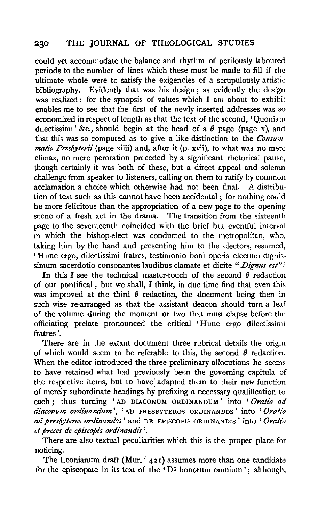## 230 **THE JOURNAL** OF THEOLOGICAL STUDIES

could yet accommodate the balance and rhythm of perilously laboured periods to the number of lines which these must be made to fill if the ultimate whole were to satisfy the exigencies of a scrupulously artistic bibliography. Evidently that was his design; as evidently the design was realized: for the synopsis of values which I am about to exhibit enables me to see that the first of the newly-inserted addresses was so economized in respect of length as that the text of the second, 'Quoniam dilectissimi' &c., should begin at the head of a  $\theta$  page (page x), and that this was so computed as to give a like distinction to the *Consummatio Presbyterii* (page xiiii) and, after it (p. xvii), to what was no mere climax, no mere peroration preceded by a significant rhetorical pause, though certainly it was both of these, but a direct appeal and solemn challenge from speaker to listeners, calling on them to ratify by common acclamation a choice which otherwise had not been final. A distribution of text such as this cannot have been accidental; for nothing could be more felicitous than the appropriation of a new page to the opening scene of a fresh act in the drama. The transition from the sixteenth page to the seventeenth coincided with the brief but eventful interval in which the bishop-elect was conducted to the metropolitan, who, taking him by the hand and presenting him to the electors, resumed, 'Hunc ergo, dilectissimi fratres, testimonio boni operis electum dignissimum sacerdotio consonantes laudibus clamate et dicite *"Dignus est".'* 

In this I see the technical master-touch of the second  $\theta$  redaction of our pontifical ; but we shall, I think, in due time find that even this was improved at the third  $\theta$  redaction, the document being then in such wise re-arranged as that the assistant deacon should turn a leaf of the volume during the moment or two that must elapse before the officiating prelate pronounced the critical 'Hunc ergo dilectissimi fratres '.

There are in the extant document three rubrical details the origin of which would seem to be referable to this, the second  $\theta$  redaction. When the editor introduced the three preliminary allocutions he seems to have retained what had previously been the governing capitula of the respective items, but to have adapted them to their new function of merely subordinate headings by prefixing a necessary qualification to each; thus turning 'AD DIACONUM ORDINANDUM' into 'Oratio ad  $diaconum$  ordinandum', 'AD PRESBYTEROS ORDINANDOS' into ' Oratio *ad presbyteros ordinandos'* and DE EPISCOPIS ORDINANDIS ' into ' *Oratio et preces de episcopis ordinandis* '.

There are also textual peculiarities which this is the proper place for noticing.

The Leonianum draft (Mur. i 421) assumes more than one candidate for the episcopate in its text of the 'Ds honorum omnium'; although,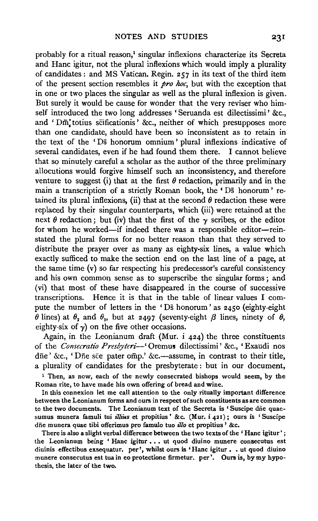probably for a ritual reason, 1 singular inflexions characterize its Secreta and Hanc igitur, not the plural inflexions which would imply a plurality of candidates: and MS Vatican. Regin. 257 in its text of the third item of the present section resembles it *pro hoc,* but with the exception that in one or two places the singular as well as the plural inflexion is given. But surely it would be cause for wonder that the very reviser who himself introduced the two long addresses ' Seruanda est dilectissimi' &c., and 'Dm' totius scificationis' &c., neither of which presupposes more than one candidate, should have been so inconsistent as to retain in the text of the 'Ds bonorum omnium' plural inflexions indicative of several candidates, even if he had found them there. I cannot believe that so minutely careful a scholar as the author of the three preliminary allocutions would forgive himself such an inconsistency, and therefore venture to suggest (i) that at the first  $\theta$  redaction, primarily and in the main a transcription of a strictly Roman book, the 'Ds honorum' retained its plural inflexions, (ii) that at the second  $\theta$  redaction these were replaced by their singular counterparts, which (iii) were retained at the next  $\theta$  redaction; but (iv) that the first of the  $\gamma$  scribes, or the editor for whom he worked—if indeed there was a responsible editor—reinstated the plural forms for no better reason than that they served to distribute the prayer over as many as eighty-six lines, a value which exactly sufficed to make the section end on the last line of a page, at the same time (v) so far respecting his predecessor's careful consistency and his own common sense as to superscribe the singular forms ; and (vi) that most of these have disappeared in the course of successive transcriptions. Hence it is that in the table of linear values I compute the number of letters in the 'Ds honorum' as 2450 (eighty-eight  $\hat{\theta}$  lines) at  $\theta_2$  and  $\theta_3$ , but at 2497 (seventy-eight  $\beta$  lines, ninety of  $\theta$ , eighty-six of  $\gamma$ ) on the five other occasions.

Again, in the Leonianum draft (Mur. i 424) the three constituents of the *Consecratio Presbyteri--'* Oremus dilectissimi' &c., 'Exaudi nos dne' &c., 'Dne sce pater omp.' &c.--assume, in contrast to their title, a plurality of candidates for the presbyterate : but in our document,

<sup>1</sup> Then, as now, each of the newly consecrated bishops would seem, by the Roman rite, to have made his own offering of bread and wine.

In this connexion let me call attention to the only ritually important difference between the Leonianum forms and ours in respect of such constituents as are common to the two documents. The Leonianum text of the Secreta is 'Suscipe die quaesumus munera famuli tui illius et propitius' &c. (Mur. i 421); ours is 'Suscipe diie munera quae tibi offerimus pro famulo tuo *il/o* et propitius' &c.

There is also a slight verbal difference between the two texts of the ' Hanc igitur' ; the Leonianum being ' Hanc igitur . . . ut quod diuino munere consecutus est diuinis effectibus exsequatur. per', whilst ours is 'Hanc igitur , • ut quod diuino munere consecutus est tua in eo protectione firmetur. per'. Ours is, by my hypothesis, the later of the two.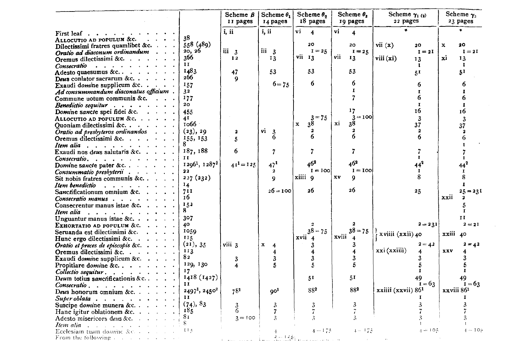|                                                                                                                |                   | Scheme $B$<br>II pages | Scheme $\theta_1$<br>14 pages  | Scheme $\theta$ ,<br>18 pages | Scheme $\theta_{\rm s}$<br>19 pages | Scheme $\gamma_1(q)$<br>22 pages | Scheme $\gamma_3$<br>23 pages |
|----------------------------------------------------------------------------------------------------------------|-------------------|------------------------|--------------------------------|-------------------------------|-------------------------------------|----------------------------------|-------------------------------|
| First leaf $\cdots$                                                                                            |                   | i, ii                  | i, ii                          | vi<br>$\overline{\bf{4}}$     | vi<br>4                             | ×                                |                               |
| ALLOCUTIO AD POPULUM &C.                                                                                       | 38                |                        |                                |                               |                                     |                                  |                               |
| Dilectissimi fratres quamlibet &c.                                                                             | 558 (489)         |                        |                                | 20                            | 20                                  | vii $(x)$<br>20                  | 20<br>x                       |
| Oratio ad diaconum ordinandum<br><b>Contract Contract Contract</b>                                             | 20, 20            | iii 3                  | iii 3                          | $I = 25$                      | $I = 25$                            | $I = 2I$                         | $I = 2I$                      |
| Oremus dilectissimi &c.                                                                                        | 366               | 12                     | 13                             | vii 13                        | vii<br>13                           | viii(xi)<br>13                   | xi<br>13                      |
| $Conservation \t\t\t \t\t\t$                                                                                   | 11                |                        |                                |                               |                                     | п.                               | $\mathbf{I}$                  |
| Adesto quaesumus &c                                                                                            | 1483              | 47                     | 53                             | 53                            | 53                                  | 5 <sup>T</sup>                   | 51                            |
| Deus conlator sacrarum &c. $\cdot \cdot \cdot$                                                                 | 266               | 9                      |                                |                               |                                     |                                  |                               |
| Exaudi domine supplicum &c.                                                                                    | 157               |                        | $6 = 75$                       | 6                             | 6                                   | 6                                | 6                             |
| Ad consummandum diaconatus officium.                                                                           | 32                |                        |                                |                               | T                                   | $\mathbf{r}$                     | I.                            |
| Commune uotum communis &c.                                                                                     | 177               |                        |                                |                               |                                     | 6                                | 6                             |
| Benedictio sequitur                                                                                            | 20                |                        |                                |                               |                                     | $\mathbf{I}$                     | 1                             |
| Domine sancte spei fidei &c.                                                                                   | 455               |                        |                                |                               | 17                                  | 16                               | 16                            |
| ALLOCUTIO AD POPULUM & $c, \ldots$                                                                             | 4 I               |                        |                                | $3 = 75$                      | $3 = 100$                           | $\mathbf{3}$                     | 3                             |
| Quoniam dilectissimi &c.                                                                                       | 1066 -            |                        |                                | 38<br>$\mathbf x$             | xi<br>38                            | 37                               | 37                            |
| Oratio ad presbyteros ordinandos                                                                               | (23), 29          | 2                      | vi<br>-3                       |                               |                                     | $\mathbf{2}$                     | 2                             |
| Oremus dilectissimi &c.<br>$\mathbf{A}=\mathbf{A}+\mathbf{A}+\mathbf{A}$                                       | 155, 153          | 5                      | 6                              | 6                             | 6                                   | 6                                | 6                             |
| Item alia                                                                                                      |                   |                        |                                |                               |                                     |                                  |                               |
| Exaudi nos deus salutaris & c. $\cdots$ .                                                                      | 187, 188          | 6                      | 7                              | 7                             |                                     | 7                                |                               |
| Consecratio                                                                                                    | п                 |                        |                                |                               |                                     | $\mathbf{I}$                     |                               |
| Domine sancte pater &c                                                                                         | $12961$ , $12872$ | $41^1 = 125$           | 47 <sup>1</sup>                | $46^{2}$                      | 46 <sup>2</sup>                     | 44 <sup>2</sup>                  |                               |
| Consummatio presbyterii                                                                                        | $22^{1}$          |                        | 2                              | $I = 100$                     | $I = 100$                           | $\bf{I}$                         |                               |
| Sit nobis fratres communis &c                                                                                  | 227(232)          |                        | $\mathbf Q$                    | xiiii 9                       | xv<br>9                             | 8                                | 8                             |
| Item benediction and annual service and annual service and annual service and annual service and annual servic | 14                |                        |                                |                               |                                     |                                  | $\mathbf{I}$                  |
| Sanctificationum omnium &c                                                                                     | 711               |                        | $26 = 100$                     | 26                            | 26                                  | $25^{\circ}$                     | $25 = 231$                    |
| Consecratio manus                                                                                              | 16                |                        |                                |                               |                                     |                                  | xxii<br>2                     |
| Consecrentur manus istae &c. $\ldots$ .                                                                        | 152               |                        |                                |                               |                                     |                                  |                               |
|                                                                                                                | 8.                |                        |                                |                               |                                     |                                  | $\bf{I}$                      |
| Unguantur manus istae &c                                                                                       | 307               |                        |                                |                               |                                     |                                  | II                            |
| EXHORTATIO AD POPULUM &C.                                                                                      | 40                |                        |                                |                               | 2                                   | $2 - 231$                        | $2 = 2I$                      |
| Seruanda est dilectissimi &c.                                                                                  | 1050              |                        |                                | $38 - 75$                     | $38 = 75$                           | xviiii (xxii) 40                 |                               |
| Hunc ergo dilectissimi &c.                                                                                     | 115               |                        |                                | xvii                          | xviii                               |                                  | xxiii 40                      |
| Oratio et preces de episcopis & $c. \cdot \cdot \cdot$                                                         | (21), 35          | viii 3                 | $\mathbf{x}$<br>$\overline{4}$ | 3                             | 3                                   | $2 = 42$                         | $2 = 42$                      |
| Oremus dilectissimi &c.                                                                                        | 113               |                        | 4                              | 4                             |                                     | xxi (xxiiii)                     | xxv                           |
| Exaudi domine supplicum &c. $\cdot$ .                                                                          | 82                | 3                      | 3                              | 3                             |                                     |                                  | 3                             |
| Propitiare domine &c., $\ldots$ , $\ldots$                                                                     | 129, 130          | 4                      | 5                              | 5                             | 5                                   |                                  |                               |
| $Collectio$ sequitur $\ldots$                                                                                  | 17                |                        |                                |                               |                                     | $\bf{I}$                         | $\bf{I}$                      |
| Deum totius sanctificationis & c                                                                               | 1418(1427)        |                        |                                | 51                            | 51                                  | 49                               | 49                            |
| Consecratio.                                                                                                   | 11                |                        |                                |                               |                                     | $I = 63$                         | $I = 63$                      |
| Deus honorum omnium &c.                                                                                        | 24971, 24502      | 781                    | 90 <sup>1</sup>                | 882                           | 882                                 | xxiiii (xxvii) 86 <sup>1</sup>   | xxviii 86 <sup>1</sup>        |
| Superoblata $\cdots$ $\cdots$ $\cdots$                                                                         | п                 |                        |                                |                               |                                     | т                                | п                             |
| Suscipe domine munera &c.                                                                                      | (74), 83          |                        | 3                              | 3                             | 3                                   |                                  |                               |
| Hanc igitur oblationem &c. $\cdots$                                                                            | 185               | $\frac{3}{6}$          | 7                              | 7                             |                                     |                                  |                               |
| Adesto misericors deus &c.                                                                                     | 81                | $3 = 100$              | 3                              | Â                             | 3                                   |                                  |                               |
| Item alia                                                                                                      |                   |                        |                                |                               |                                     |                                  |                               |
| Ecclesiam tuam domine &c.                                                                                      | 11.5              |                        |                                | $4 - 175$                     | $4 - 175$                           | 내 ㅠ 10월                          | $4-107$                       |
| From the following $\ldots$ .                                                                                  |                   |                        | $2 - 125$                      |                               |                                     |                                  |                               |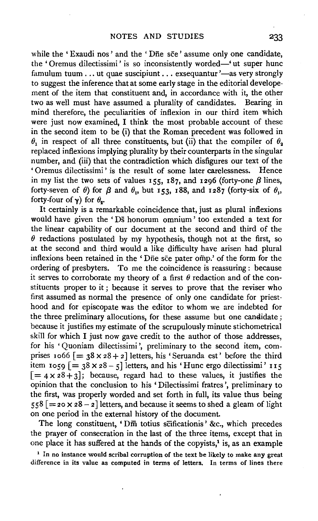while the 'Exaudi nos' and the 'Die sce' assume only one candidate, the 'Oremus dilectissimi' is so inconsistently worded—'ut super hunc famulum tuum ... ut quae suscipiunt ... exsequantur'-as very strongly to suggest the inference that at some early stage in the editorial developement of the item that constituent and, in accordance with it, the other two as well must have assumed a plurality of candidates. Bearing in mind therefore, the peculiarities of inflexion in our third item which were just now examined, I think the most probable account of these in the second item to be (i) that the Roman precedent was followed in  $\theta_1$  in respect of all three constituents, but (ii) that the compiler of  $\theta_2$ replaced inflexions implying plurality by their counterparts in the singular number, and (iii) that the contradiction which disfigures our text of the 'Oremus dilectissimi' is the result of some later carelessness. Hence 'Oremus dilectissimi' is the result of some later carelessness. in my list the two sets of values 155, 187, and 1296 (forty-one  $\beta$  lines, forty-seven of  $\theta$ ) for  $\beta$  and  $\theta_1$ , but 153, 188, and 1287 (forty-six of  $\theta_1$ , forty-four of  $\gamma$ ) for  $\theta_{\bullet}$ .

It certainly is a remarkable coincidence that, just as plural inflexions would have given the 'Ds honorum omnium' too extended a text for the linear capability of our document at the second and third of the  $\theta$  redactions postulated by my hypothesis, though not at the first, so at the second and third would a like difficulty have arisen had plural inflexions been retained in the 'Die see pater omp.' of the form for the ordering of presbyters. To me the coincidence is reassuring : because it serves to corroborate my theory of a first  $\theta$  redaction and of the constituents proper to it ; because it serves to prove that the reviser who first assumed as normal the presence of only one candidate for priesthood and for episcopate was the editor to whom we are indebted for the three preliminary allocutions, for these assume but one candidate ; because it justifies my estimate of the scrupulously minute stichometrical skill for which I just now gave credit to the author of those addresses, for his 'Quoniam dilectissimi', preliminary to the second item, comprises 1066  $[ = 38 \times 28 + 2]$  letters, his 'Seruanda est' before the third item 1059  $\left[ = 38 \times 28 - 5 \right]$  letters, and his 'Hunc ergo dilectissimi' 115  $[=4 \times 28 + 3]$ ; because, regard had to these values, it justifies the opinion that the conclusion to his 'Dilectissimi fratres ', preliminary to the first, was properly worded and set forth in full, its value thus being  $558$  [= 20 X 28 - 2] letters, and because it seems to shed a gleam of light on one period in the external history of the document.

The long constituent, 'Dm totius scificationis' &c., which precedes the prayer of consecration in the last of the three items, except that in one place it has suffered at the hands of the copyists,<sup>1</sup> is, as an example

 $<sup>1</sup>$  In no instance would scribal corruption of the text be likely to make any great</sup> difference in its value as computed in terms of letters. In terms of lines there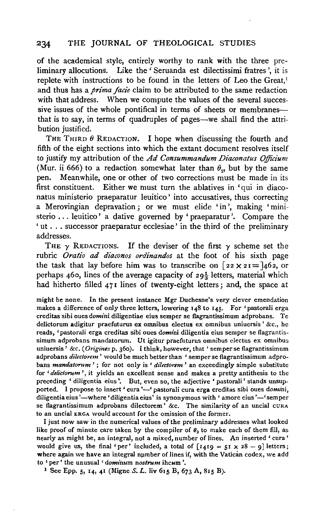of the academical style, entirely worthy to rank with the three preliminary allocutions. Like the ' Seruanda est dilectissimi fratres ', it is replete with instructions to be found in the letters of Leo the Great,<sup>1</sup> and thus has a *prima facie* claim to be attributed to the same redaction with that address. When we compute the values of the several successive issues of the whole pontifical in terms of sheets or membranesthat is to say, in terms of quadruples of pages-we shall find the attribution justified.

THE THIRD  $\theta$  REDACTION. I hope when discussing the fourth and fifth of the eight sections into which the extant document resolves itself to justify my attribution of the *Ad Consummandum Diaconatus Officium*  (Mur. ii 666) to a redaction somewhat later than  $\theta_2$ , but by the same pen. Meanwhile, one or other of two corrections must be made in its first constituent. Either we must turn the ablatives in 'qui in diaconatus ministerio praeparatur leuitico' into accusatives, thus correcting a Merovingian depravation; or we must elide 'in', making 'ministerio ... leuitico' a dative governed by 'praeparatur '. Compare the ' ut ... successor praeparatur ecclesiae' in the third of the preliminary addresses.

THE  $\gamma$  REDACTIONS. If the deviser of the first  $\gamma$  scheme set the rubric *Oratio ad diaconos ordinandos* at the foot of his sixth page the task that lay before him was to transcribe on  $[22 \times 21] = 462$ , or perhaps 460, lines of the average capacity of  $29\frac{1}{3}$  letters, material which had hitherto filled 471 lines of twenty-eight letters; and, the space at

might be none. In the present instance Mgr Duchesne's very clever emendation makes a difference of only three letters, lowering  $148$  to  $145$ . For 'pastorali erga creditas sibi oues *domini* diligentiae eius semper se flagrantissimum ad probans. Te delictorum adigitur praefuturus ex omnibus electus ex omnibus uniuersis ' &c., he reads, 'pastorali erga creditas sibi oues *domini* diligentia eius semper se flagrantissimum adprobans mandatorum. Ut igitur praefuturus omnibus electus ex omnibus uniuersis' &c. ( *Origines* p. 36o). I think, however, that 'semper se flagrantissimum adprobans *dilectorem* ' would be much better than ' semper se flagrantissimum adprobans *mandatorum* ' ; for not only is ' *dilectorem* ' an exceedingly simple substitute for *'delictorum* ', it yields an excellent sense and makes a pretty antithesis to the preceding ' diligentia eius '. But, even so, the adjective ' pastorali' stands unsupported. I propose to insert ' cura '-' pastorali cura erga creditas sibi oues domini, diligentia eius '-where 'diligentia eius' is synonymous with ' amore eius '-' semper se flagrantissimum adprobans dilectorem' &c. The similarity of an uncial  $CURA$ to an uncial ERGA would account for the omission of the former.

I just now saw in the numerical values of the preliminary addresses what looked like proof of minute care taken by the compiler of  $\theta_2$  to make each of them fill, as nearly as might be, an integral, not a mixed, number of lines. An inserted 'cura' would give us, the final 'per' included, a total of  $\lceil 1419 = 51 \times 28 - 9 \rceil$  letters; where again we have an integral number of lines if, with the Vatican codex, we add to 'per' the unusual ' *dominum nostrum* ihcum '.

<sup>1</sup> See Epp. 5, 14, 41 (Migne S. L. liv 615 B, 673 A, 815 B).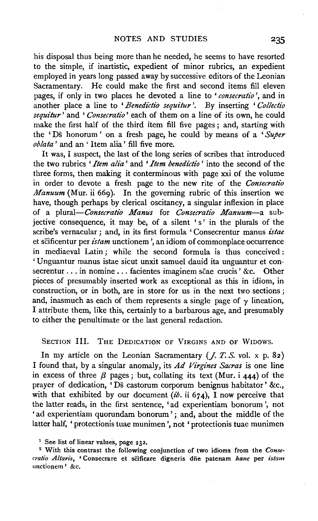his disposal thus being more than he needed, he seems to have resorted to the simple, if inartistic, expedient of minor rubrics, an expedient employed in years long passed away by successive editors of the Leonian Sacramentary. He could make the first and second items fill eleven pages, if only in two places he devoted a line to *'consecratio* ', and in another place a line to 'Benedictio sequitur'. By inserting 'Collectio *sequitur'* and ' *Consecratio'* each of them on a line of its own, he could make the first half of the third item fill five pages ; and, starting with the ' Ds bonorum ' on a fresh page, he could by means of a *'Super oblata* ' and an ' Item alia' fill five more.

It was, I suspect, the last of the long series of scribes that introduced the two rubrics *'Item alia'* and *'Item benedictio'* into the second of the three forms, then making it conterminous with page xxi of the volume in order to devote a fresh page to the new rite of the *Consecratio Manuum* (Mur. ii 669). In the governing rubric of this insertion we have, though perhaps by clerical oscitancy, a singular inflexion in place of a *plural-Consecratio Manus* for *Consecratio Manuum-a* subjective consequence, it may be, of a silent 's' in the plurals of the scribe's vernacular; and, in its first formula 'Consecrentur manus *istae*  et sCificentur per *istam* unctionem ', an idiom of commonplace occurrence in mediaeval Latin ; while the second formula is thus conceived : 'Unguantur manus istae sicut unxit samuel dauid ita unguantur et consecrentur . . . in nomine . . . facientes imaginem scae crucis ' &c. Other pieces of presumably inserted work as exceptional as this in idiom, in construction, or in both, are in store for us in the next two sections ; and, inasmuch as each of them represents a single page of  $\gamma$  lineation, I attribute them, like this, certainly to a barbarous age, and presumably to either the penultimate or the last general redaction.

SECTION III. THE DEDICATION OF VIRGINS AND OF WIDOWS.

In my article on the Leonian Sacramentary  $(f, T, S, vol. \times p. 82)$ I found that, by a singular anomaly, its *Ad Virgines Sacras* is one line in excess of three  $\beta$  pages; but, collating its text (Mur. i 444) of the prayer of dedication, 'Ds castorum corporum benignus habitator' &c., with that exhibited by our document  $(i\delta)$ . ii 674), I now perceive that the latter reads, in the first sentence, 'ad experientiam bonorum ', not 'ad experientiam quorundam bonorum'; and, about the middle of the latter half, 'protectionis tuae munimen', not 'protectionis tuae munimen

<sup>&</sup>lt;sup>1</sup> See list of linear values, page 232.

<sup>2</sup> With this contrast the following conjunction of two idioms from the *Consecratio Altaris,* 'Consecrare et sCificare digneris dfie patenam *hanc* per *istam*  unctionem ' &c.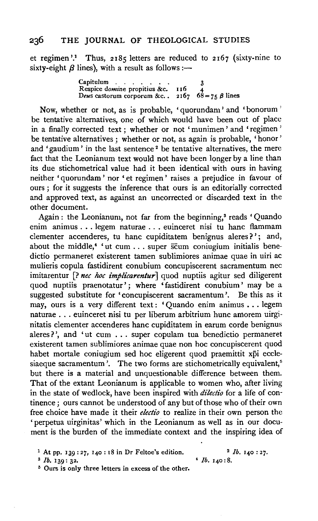et regimen'.<sup>1</sup> Thus, 2185 letters are reduced to 2167 (sixty-nine to sixty-eight  $\beta$  lines), with a result as follows:—

Capitulum ...... . 3 Respice *domine* propitius &c. *Respice domine propitius &c.* 110 4<br>Deus castorum corporum &c. . 2167 68=75  $\beta$  lines

Now, whether or not, as is probable, 'quorundam' and 'bonorum ' be tentative alternatives, one of which would have been out of place in a finally corrected text ; whether or not 'munimen ' and 'regimen ' be tentative alternatives ; whether or not, as again is probable, 'honor ' and 'gaudium' in the last sentence<sup>2</sup> be tentative alternatives, the mere fact that the Leonianum text would not have been longer by a line than its due stichometrical value had it been identical with ours in having neither 'quorundam' nor 'et regimen' raises a prejudice in favour of ours ; for it suggests the inference that ours is an editorially corrected and approved text, as against an uncorrected or discarded text in the other document.

Again: the Leonianum, not far from the beginning,<sup>3</sup> reads 'Quando enim animus ... legem naturae ... euinceret nisi tu banc flammam clementer accenderes, tu hanc cupiditatem benignus aleres?'; and, about the middle,<sup>4</sup> 'ut cum . . . super  $\overline{\text{s}}$ cum coniugium initialis benedictio permaneret existerent tamen sublimiores animae quae in uiri ac mulieris copula fastidirent conubium concupiscerent sacramentum nee imitarentur [? *nee hoc implicarentur]* quod nuptiis agitur sed diligerent quod nuptiis praenotatur'; where 'fastidirent conubium' may be a suggested substitute for 'concupiscerent sacramentum'. Be this as it may, ours is a very different text: 'Quando enim animus . . . legem naturae ... euinceret nisi tu per liberum arbitrium hunc amorem uirginitatis clementer accenderes banc cupiditatem in earum corde benignus aleres?', and 'ut cum . . . super copulam tua benedictio permaneret existerent tamen sublimiores animae quae non hoc concupiscerent quod habet mortale coniugium sed hoc eligerent quod praemittit xpi ecclesiaeque sacramentum'. The two forms are stichometrically equivalent,<sup>5</sup> but there is a material and unquestionable difference between them. That of the extant Leonianum is applicable to women who, after living in the state of wedlock, have been inspired with *dilectio* for a life of continence; ours cannot be understood of any but of those who of their own free choice have made it their *electio* to realize in their own person the 'perpetua uirginitas' which in the Leonianum as well as in our document is the burden of the immediate context and the inspiring idea of

 $4$  *lb.*  $140:8$ .

<sup>1</sup> At pp. 139:27, 140: 18 in Dr Feltoe's edition.<br><sup>3</sup> *lb.* 139: 32.<br><sup>5</sup> Ours is only three letters in excess of the other.

<sup>2</sup>*lb.* 140 : 27.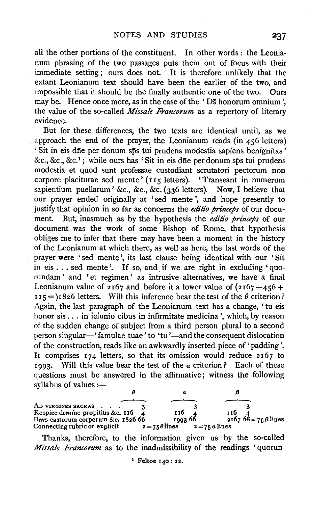all the other portions of the constituent. In other words : the Leonianum phrasing of the two passages puts them out of focus with their immediate setting ; ours does not. It is therefore unlikely that the extant Leonianum text should have been the earlier of the two, and impossible that it should be the finally authentic one of the two. Ours may be. Hence once more, as in the case of the 'Ds honorum omnium', the value of the so-called *Missale Francorum* as a repertory of literary evidence.

But for these differences, the two texts are identical until, as we approach the end of the prayer, the Leonianum reads (in 456 letters) • Sit in eis dne per donum sps tui prudens modestia sapiens benignitas ' &c., &c., &c.<sup>1</sup>; while ours has 'Sit in eis dne per donum sps tui prudens modestia et quod sunt professae custodiant scrutatori pectorum non corpore placiturae sed mente' (115 letters). 'Transeant in numerum sapientium puellarum' &c., &c., &c. (336 letters). Now, I believe that our prayer ended originally at ' sed mente ', and hope presently to justify that opinion in so far as concerns the *editio princeps* of our docu-But, inasmuch as by the hypothesis the *editio princeps* of our document was the work of some Bishop of Rome, that hypothesis obliges me to infer that there may have been a moment in the history of the Leonianum at which there, as well as here, the last words of the prayer were 'sed mente ', its last clause being identical with our 'Sit in eis . . . sed mente'. If so, and if we are right in excluding 'quorundam' and 'et regimen' as intrusive alternatives, we have a final Leonianum value of  $2167$  and before it a lower value of  $(2167 - 456 +$  $I I_5 = I_1826$  letters. Will this inference bear the test of the  $\theta$  criterion? Again, the last paragraph of the Leonianum text has a change, 'tu eis honor sis . . . in ieiunio cibus in infirmitate medicina ', which, by reason of the sudden change of subject from a third person plural to a second person singular-' famulae tuae' to 'tu'-and the consequent dislocation of the construction, reads like an awkwardly inserted piece of' padding'. It comprises 174 letters, so that its omission would reduce 2167 to 1993. Will this value bear the test of the  $\alpha$  criterion? Each of these questions must be answered in the affirmative; witness the following  $s$ yllabus of values  $:=$ 



Thanks, therefore, to the information given us by the so-called *Missale Francorum* as to the inadmissibility of the readings 'quorun-

<sup>&</sup>lt;sup>1</sup> Feltoe 140: 22.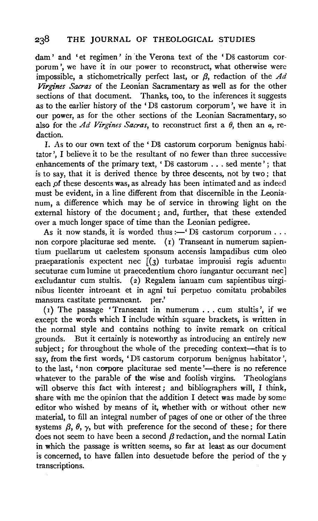dam' and 'et regimen' in the Verona text of the 'Ds castorum corporum ', we have it in our power to reconstruct, what otherwise were impossible, a stichometrically perfect last, or  $\beta$ , redaction of the  $Ad$ *Virgines Sacras* of the Leonian Sacramentary as well as for the other sections of that document. Thanks, too, to the inferences it suggests as to the earlier history of the 'Ds castorum corporum ', we have it in our power, as for the other sections of the Leonian Sacramentary, so also for the *Ad Virgines Sacras*, to reconstruct first a  $\theta$ , then an  $\alpha$ , redaction.

I. As to our own text of the ' Ds castorum corporum benignus habitator ', I believe it to be the resultant of no fewer than three successive enhancements of the primary text, 'Ds castorum . . . sed mente'; that is to say, that it is derived thence by three descents, not by two; that each of these descents was, as already has been intimated and as indeed must be evident, in a line different from that discernible in the Leonianum, a difference which may be of service in throwing light on the external history of the document ; and, further, that these extended over a much longer space of time than the Leonian pedigree.

As it now stands, it is worded thus :- ' $\overline{D}$ s castorum corporum ... non corpore placiturae sed mente. (r) Transeant in numerum sapientium puellarum ut caelestem sponsum accensis lampadibus cum oleo praeparationis expectent nee  $\overline{[(3)}$  turbatae improuisi regis aduentu secuturae cum lumine ut praecedentium choro iungantur occurrant nec excludantur cum stultis. (2) Regalem ianuam cum sapientibus uirginibus licenter introeant et in agni tui perpetuo comitatu probabiles mansura castitate permaneant. per.'

 $(r)$  The passage 'Transeant in numerum ... cum stultis', if we except the words which I include within square brackets, is written in the normal style and contains nothing to invite remark on critical grounds. But it certainly is noteworthy as introducing an entirely new subject; for throughout the whole of the preceding context—that is to say, from the first words, 'Ds castorum corporum benignus habitator ', to the last, 'non corpore placiturae sed mente'—there is no reference whatever to the parable of the wise and foolish virgins. Theologians will observe this fact with interest; and bibliographers will, I think, share with me the opinion that the addition I detect was made by some editor who wished by means of it, whether with or without other new material, to fill an integral number of pages of one or other of the three systems  $\beta$ ,  $\theta$ ,  $\gamma$ , but with preference for the second of these; for there does not seem to have been a second  $\beta$  redaction, and the normal Latin in which the passage is written seems, so far at least as our document is concerned, to have fallen into desuetude before the period of the  $\gamma$ transcriptions.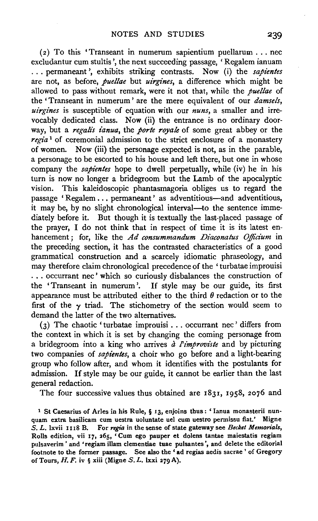( $2)$  To this 'Transeant in numerum sapientium puellarum ... nec excludantur cum stultis ', the next succeeding passage, 'Regalem ianuam ... permaneant ', exhibits striking contrasts. Now (i) the *sapientes*  are not, as before, *puellae* but *uirgz'nes,* a difference which might be allowed to pass without remark, were it not that, while the *puellae* of the 'Transeant in numerum' are the mere equivalent of our *damsels, uirgines* is susceptible of equation with our *nuns,* a smaller and irrevocably dedicated class. Now (ii) the entrance is no ordinary doorway, but a *regalis ianua*, the *porte royale* of some great abbey or the *regia* 1 of ceremonial admission to the strict enclosure of a monastery of women. Now (iii) the personage expected is not, as in the parable, a personage to be escorted to his house and left there, but one in whose company the *sapientes* hope to dwell perpetually, while (iv) he in his turn is now no longer a bridegroom but the Lamb of the apocalyptic vision. This kaleidoscopic phantasmagoria obliges us to regard the passage 'Regalem ... permaneant' as adventitious-and adventitious, it may be, by no slight chronological interval—to the sentence immediately before it. But though it is textually the last-placed passage of the prayer, I do not think that in respect of time it is its latest enhancement ; for, like the *Ad consummandum Diaconatus Officium* in the preceding section, it has the contrasted characteristics of a good grammatical construction and a scarcely idiomatic phraseology, and may therefore claim chronological precedence of the ' turbatae improuisi ... occurrant nee' which so curiously disbalances the construction of the 'Transeant in numerum '. If style may be our guide, its first appearance must be attributed either to the third  $\theta$  redaction or to the first of the  $\gamma$  triad. The stichometry of the section would seem to demand the latter of the two alternatives.

(3) The chaotic 'turbatae improuisi . . . occurrant nee' differs from the context in which it is set by changing the coming personage from a bridegroom into a king who arrives  $\frac{\partial^2}{\partial x \partial y}$  *a limproviste* and by picturing two companies of *sapientes,* a choir who go before and a light-bearing group who follow after, and whom it identifies with the postulants for admission. If style may be our guide, it cannot be earlier than the last general redaction.

The four successive values thus obtained are 183x, 1958, 2076 and

1 St Caesarius of Aries in his Rule, § 13, enjoins thus: ' Ianua monasterii nunquam extra basilicam cum uestra uoluntate uel cum uestro permissu fiat.' Migne *S. L. lxvii* 1118 B. For *regia* in the sense of state gateway see *Becket Memorials*, Rolls edition, vii 17, 265, 'Cum ego pauper et dolens tantae maiestatis regiam pulsaverim' and 'regiam illam clementiae tuae pulsantes ', and delete the editorial footnote to the former passage. See also the ' ad regias aedis sacrae ' of Gregory of Tours, H. F. iv § xiii (Migne S. L. lxxi 279 A).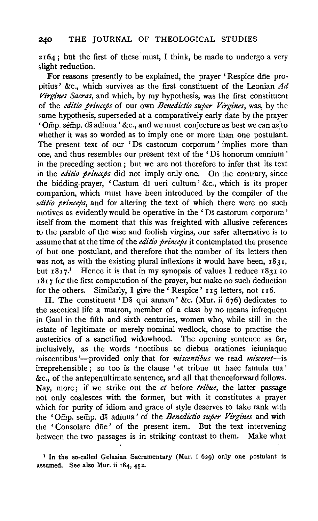2164; but the first of these must, I think, be made to undergo a very slight reduction.

For reasons presently to be explained, the prayer 'Respice dfie propitius' &c., which survives as the first constituent of the Leonian  $Ad$ *Virgines Sacras,* and which, by my hypothesis, was the first constituent of the *editio princeps* of our own *Benedictio super Virgines*, was, by the same hypothesis, superseded at a comparatively early date by the prayer 'Omp. semp. ds adiuua' &c., and we must conjecture as best we can as~to whether it was so worded as to imply one or more than one postulant. The present text of our 'Ds castorum corporum ' implies more than one, and thus resembles our present text of the 'Ds bonorum omnium' in the preceding section ; but we are not therefore to infer that its text in the *editio princeps* did not imply only one. On the contrary, since the bidding-prayer, 'Castum di ueri cultum' &c., which is its proper companion, which must have been introduced by the compiler of the *editio princeps*, and for altering the text of which there were no such motives as evidently would be operative in the ' Ds castorum corporum' itself from the moment that this was freighted with allusive references to the parable of the wise and foolish virgins, our safer alternative is to assume that at the time of the *editio princeps* it contemplated the presence of but one postulant, and therefore that the number of its letters then was not, as with the existing plural inflexions it would have been, 1831, but  $1817$ <sup>1</sup>. Hence it is that in my synopsis of values I reduce  $1831$  to 1817 for the first computation of the prayer, but make no such deduction for the others. Similarly, I give the ' Respice' 115 letters, not 116.

II. The constituent 'Ds qui annam' &c. (Mur. ii 676) dedicates to the ascetical life a matron, member of a class by no means infrequent in Gaul in the fifth and sixth centuries, women who, while still in the estate of legitimate or merely nominal wedlock, chose to practise the austerities of a sanctified widowhood. The opening sentence as far, inclusively, as the words 'noctibus ac diebus orationes ieiuniaque miscentibus'--provided only that for *miscentibus* we read *misceret*-is irreprehensible; so too is the clause 'et tribue ut haec famula tua' &c., of the antepenultimate sentence, and all that thenceforward follows. Nay, more; if we strike out the *et* before *tribue,* the latter passage not only coalesces with the former, but with it constitutes a prayer which for purity of idiom and grace of style deserves to take rank with the ' Omp. semp. ds adiuua ' of the *Benedictio super Virgines* and with the 'Consolare dne' of the present item. But the text intervening between the two passages is in striking contrast to them. Make what

<sup>&</sup>lt;sup>1</sup> In the so-called Gelasian Sacramentary (Mur. i 629) only one postulant is assumed. See also Mur. ii 184, 452.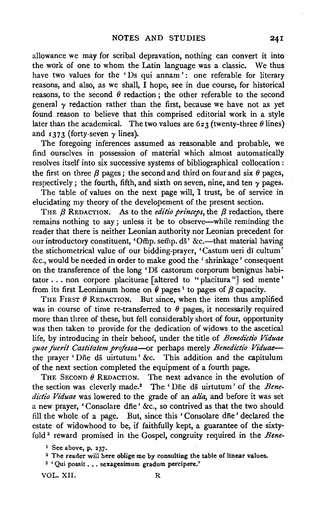allowance we may for scribal depravation, nothing can convert it into the work of one to whom the Latin language was a classic. We thus have two values for the 'Ds qui annam': one referable for literary reasons, and also, as we shall, I hope, see in due course, for historical reasons, to the second  $\theta$  redaction; the other referable to the second general  $\gamma$  redaction rather than the first, because we have not as yet found reason to believe that this comprised editorial work in a style later than the academical. The two values are  $623$  (twenty-three  $\theta$  lines) and 1373 (forty-seven *y* lines).

The foregoing inferences assumed as reasonable and probable, we find ourselves in possession of material which almost automatically resolves itself into six successive systems of bibliographical collocation : the first on three  $\beta$  pages; the second and third on four and six  $\theta$  pages, respectively; the fourth, fifth, and sixth on seven, nine, and ten  $\gamma$  pages.

The table of values on the next page will, I trust, be of service in elucidating my theory of the developement of the present section.

THE  $\beta$  REDACTION. As to the *editio princeps*, the  $\beta$  redaction, there remains nothing to say; unless it be to observe—while reminding the reader that there is neither Leonian authority nor Leonian precedent for our introductory constituent, 'Omp. semp. ds' &c.--that material having the stichometrical value of our bidding-prayer, 'Castum ueri di cultum' &c., would be needed in order to make good the ' shrinkage' consequent on the transference of the long 'Ds castorum corporum benignus habitator ... non corpore placiturae [altered to "placitura "] sed mente ' from its first Leonianum home on  $\theta$  pages <sup>1</sup> to pages of  $\beta$  capacity.

THE FIRST  $\theta$  REDACTION. But since, when the item thus amplified was in course of time re-transferred to  $\theta$  pages, it necessarily required more than three of these, but fell considerably short of four, opportunity was then taken to provide for the dedication of widows to the ascetical life, by introducing in their behoof, under the title of *Benedidio Viduae quae fuerit Castitatem professa-or* perhaps merely *Benedictio Viduae*the prayer 'Dne ds uirtutum' &c. This addition and the capitulum of the next section completed the equipment of a fourth page.

THE SECOND  $\theta$  REDACTION. The next advance in the evolution of the section was cleverly made.<sup>2</sup> The 'Die ds uirtutum' of the *Benedictio Viduae* was lowered to the grade of an *alia,* and before it was set a new prayer, 'Consolare dfie' &c., so contrived as that the two should fill the whole of a page. But, since this ' Consolare dfie' declared the estate of widowhood to be, if faithfully kept, a guarantee of the sixtyfold 3 reward promised in the Gospel, congruity required in the *Bene-*

VOL. XII. R

<sup>&</sup>lt;sup>1</sup> See above, p. 237.<br><sup>2</sup> The reader will here oblige me by consulting the table of linear values.

<sup>&</sup>lt;sup>3</sup> ' Qui possit . . . sexagesimum gradum percipere.'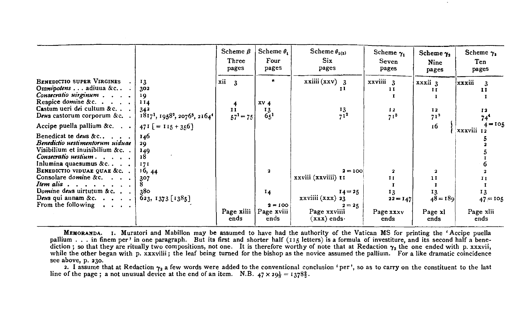|                                                                                                                                                                         |                                                                                                                     | Scheme $\beta$<br>Three<br>pages                              | Scheme $\theta_1$<br>Four<br>pages            | Scheme $\theta_{2(3)}$<br>Six.<br>pages      | Scheme $\gamma_1$<br>Seven<br>pages | Scheme $\gamma_2$<br>Nine<br>pages     | Scheme $\gamma_3$<br>Ten<br>pages  |
|-------------------------------------------------------------------------------------------------------------------------------------------------------------------------|---------------------------------------------------------------------------------------------------------------------|---------------------------------------------------------------|-----------------------------------------------|----------------------------------------------|-------------------------------------|----------------------------------------|------------------------------------|
| <b>BENEDICTIO SUPER VIRGINES</b><br>Ommipotens adiuna &c .<br>Consecratio uirginum<br>Respice domine &c.<br>Castum ueri dei cultum &c<br>Deus castorum corporum $&c.$ . | 13<br>302<br>19<br>114<br>34 <sup>2</sup><br>$18171$ , 1958 <sup>2</sup> , 2076 <sup>3</sup> , 2164 <sup>4</sup>    | xii<br>$\overline{\mathbf{3}}$<br>$\mathbf{I}$<br>$57^1 = 75$ | $\star$<br>xy <sub>4</sub><br>13<br>$6.5^{1}$ | $xxiii(xxv)$ 3<br>п<br>13<br>7 <sup>12</sup> | xxviiii 3<br>11<br>12<br>$71^{3}$   | xxxii 3<br>11<br>12<br>71 <sup>3</sup> | xxxiii<br>11<br>12<br>$74^{\circ}$ |
| Accipe puella pallium &c. $\ldots$                                                                                                                                      | $471$ [ = 115 + 356]                                                                                                |                                                               |                                               |                                              |                                     | 16                                     | $4 = 105$<br>xxxviii 12            |
| Benedicat te deus &c<br>Benedictio uestimentorum uiduae<br>Visibilium et inuisibilium &c<br>Consecratio uestium.<br>$\cdots$<br>Inlumina quaesumus $&c$ .               | 146<br>29<br>149<br>18<br>171                                                                                       |                                                               |                                               |                                              |                                     |                                        |                                    |
| BENEDICTIO VIDUAE QUAE &c                                                                                                                                               | 16, 44                                                                                                              |                                                               | $\overline{\mathbf{a}}$                       | $2 = 100$                                    |                                     |                                        |                                    |
| Consolare domine &c.                                                                                                                                                    | 307                                                                                                                 |                                                               |                                               | xxviii (xxviiii) 11                          | $\mathbf{I}$                        | $\mathbf{1}$                           |                                    |
| Item alia $\ldots$ , $\ldots$ , $\ldots$<br>Domine deus uirtutum & c<br>Deus qui annam &c. $\cdots$<br>From the following $\cdot \cdot \cdot$ .                         | 380<br>$623, 1373$ [1385]                                                                                           |                                                               | $^{14}$<br>$2 = 100$                          | $I_4 = 25$<br>xxviiii (xxx) 23<br>$2 = 25$   | 13<br>$22 = 147$                    | 13<br>$48 - 189$                       | 13<br>$47 = 105$                   |
|                                                                                                                                                                         |                                                                                                                     | Page xiiii<br>ends                                            | Page xviii<br>ends                            | Page xxviiii<br>$(xx)$ ends $\cdot$          | Page xxxv<br>ends                   | Page xl<br>ends                        | Page xlii<br>ends                  |
| MEMORANDA.                                                                                                                                                              | I. Muratori and Mabillon may be assumed to have had the authority of the Vatican MS for printing the 'Accipe puella |                                                               |                                               |                                              |                                     |                                        |                                    |

pallium.... in finem per ' in one paragraph. But its first and shorter half (115 letters) is a formula of investiture, and its second half a bene-<br>diction : so that they are ritually two compositions, not one. It is there while the other began with p. xxxviiii; the leaf being turned for the bishop as the novice assumed the pallium. For a like dramatic coincidence see above, p. 230.

2. I assume that at Redaction  $\gamma_2$  a few words were added to the conventional conclusion 'per', so as to carry on the constituent to the last<br>line of the page : a not unusual device at the end of an item. N.B. 47 x 20\*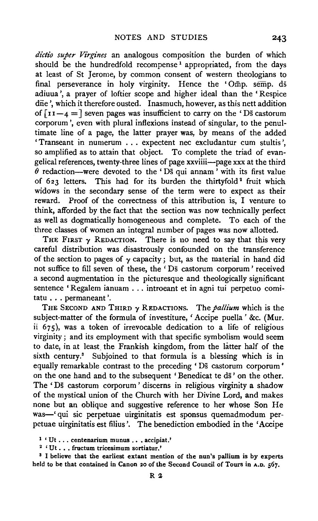dictio super Virgines an analogous composition the burden of which should be the hundredfold recompense<sup>1</sup> appropriated, from the days at least of St Jerome, by common consent of western theologians to final perseverance in holy virginity. Hence the 'Omp. semp. ds adiuua ', a prayer of loftier scope and higher ideal than the 'Respice dne', which it therefore ousted. Inasmuch, however, as this nett addition of  $\lceil 11 - 4 \rceil$  seven pages was insufficient to carry on the 'Ds castorum corporum ', even with plural inflexions instead of singular, to the penultimate line of a page, the latter prayer was, by means of the added 'Transeant in numerum . . . expectent nee excludantur cum stultis ', so amplified as to attain that object. To complete the triad of evangelical references, twenty-three lines of page xxviiii-page xxx at the third  $\ddot{\theta}$  redaction—were devoted to the 'Ds qui annam' with its first value of 623 letters. This had for its burden the thirtyfold<sup>2</sup> fruit which widows in the secondary sense of the term were to expect as their reward. Proof of the correctness of this attribution is, I venture to think, afforded by the fact that the section was now technically perfect as well as dogmatically homogeneous and complete. To each of the three classes of women an integral number of pages was now allotted.

THE FIRST  $\gamma$  REDACTION. There is no need to say that this very careful distribution was disastrously confounded on the transference of the section to pages of  $\gamma$  capacity; but, as the material in hand did not suffice to fill seven of these, the ' Ds castorum corporum ' received a second augmentation in the picturesque and theologically significant sentence 'Regalem ianuam ... introeant et in agni tui perpetuo comitatu ... permaneant '.

THE SECOND AND THIRD  $\gamma$  RED ACTIONS. The *pallium* which is the subject-matter of the formula of investiture, 'Accipe puella ' &c. (Mur. ii 675), was a token of irrevocable dedication to a life of religious virginity; and its employment with that specific symbolism would seem to date, in at least, the Frankish kingdom, from the hitter half of the sixth century.<sup>3</sup> Subjoined to that formula is a blessing which is in equally remarkable contrast to the preceding ' Ds castorum corporum • on the one hand and to the subsequent 'Benedicat te ds' on the other. The 'Ds castorum corporum' discerns in religious virginity a shadow of the mystical union of the Church with her Divine Lord, and makes none but an oblique and suggestive reference to her whose Son He was-' qui sic perpetuae uirginitatis est sponsus quemadmodum perpetuae uirginitatis est filius'. The benediction embodied in the 'Accipe

<sup>&</sup>lt;sup>1</sup> ' Ut ... centenarium munus ... accipiat.'<br><sup>2</sup> ' Ut ... fructum tricesimum sortiatur.'<br><sup>3</sup> I believe that the earliest extant mention of the nun's pallium is by experts held to be that contained in Canon 20 of the Second Council of Tours in A.D. 567.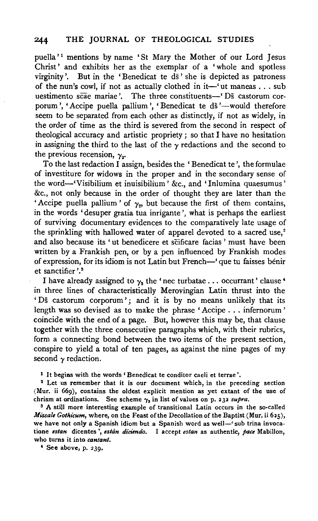puella'<sup>1</sup> mentions by name 'St Mary the Mother of our Lord Jesus Christ' and exhibits her as the exemplar of a 'whole and spotless virginity'. But in the 'Benedicat te  $d\bar{s}$ ' she is depicted as patroness of the nun's cowl, if not as actually clothed in it-'ut maneas . . . sub uestimento scae mariae'. The three constituents-" Ds castorum corporum', 'Accipe puella pallium', 'Benedicat te ds'--would therefore seem to be separated from each other as distinctly, if not as widely, in the order of time as the third is severed from the second in respect of theological accuracy and artistic propriety; so that I have no hesitation in assigning the third to the last of the  $\gamma$  redactions and the second to the previous recension,  $\gamma_e$ 

To the last redaction I assign, besides the 'Benedicat te ', the formulae of investiture for widows in the proper and in the secondary sense of the word-'Visibilium et inuisibilium' &c., and 'Inlumina quaesumus' &c., not only because in the order of thought they are later than the 'Accipe puella pallium' of  $\gamma_2$ , but because the first of them contains, in the words 'desuper gratia tua inrigante ', what is perhaps the earliest of surviving documentary evidences to the comparatively late usage of the sprinkling with hallowed water of apparel devoted to a sacred use,<sup>2</sup> and also because its 'ut benedicere et scificare facias ' must have been written by a Frankish pen, or by a pen influenced by Frankish modes of expression, for its idiom is not Latin but French-' que tu faisses benir et sanctifier'.<sup>3</sup>

I have already assigned to  $\gamma_3$  the 'nec turbatae . . . occurrant' clause  $^4$ in three lines of characteristically Merovingian Latin thrust into the ' Ds castorum corporum'; and it is by no means unlikely that its length was so devised as to make the phrase ' Accipe ... infernorum ' coincide with the end of a page. But, however this may be, that clause together with the three consecutive paragraphs which, with their rubrics, form a connecting bond between the two items of the present section, conspire to yield a total of ten pages, as against the nine pages of my second  $\gamma$  redaction.

<sup>1</sup>It begins with the words 'Benedicat te conditor caeli et terrae'. 2 Let us remember that it is our document which, in the preceding section (Mur. ii 669), contains the oldest explicit mention as yet extant of the use of chrism at ordinations. See scheme  $\gamma_3$  in list of values on p. 232 *supra*.

5 A still more interesting example of transitional Latin occurs in the so-called *Missale Gothicum,* where, on the Feast of the Decollation of the Baptist (Mur. ii 625), we have not only a Spanish idiom but a Spanish word as well-' sub trina invocatione *estan* dicentes ', *eslan diciendo.* I accept *estan* as authentic, *pace* Mabillon, who turns it into *cantant.* 

• See above, p. 239.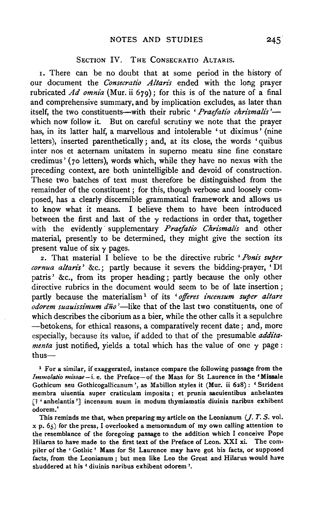### SECTION IV. THE CONSECRATIO ALTARIS.

1. There can be no doubt that at some period in the history of our document the *Consecratio Altans* ended with the long prayer rubricated *Ad omnia* (Mur. ii 679); for this is of the nature of a final and comprehensive summary, and by implication excludes, as later than itself, the two constituents-with their rubric 'Praefatio chrismalis'which now follow it. But on careful scrutiny we note that the prayer has, in its latter half, a marvellous and intolerable 'ut diximus' (nine letters), inserted parenthetically; and, at its close, the words 'quibus inter nos et aeternam unitatem in superno meatu sine fine constare credimus' ( 70 letters), words which, while they have no nexus with the preceding context, are both unintelligible and devoid of construction. These two batches of text must therefore be distinguished from the remainder of the constituent ; for this, though verbose and loosely composed, has a clearly discernible grammatical framework and allows us to know what it means. I believe them to have been introduced between the first and last of the  $\gamma$  redactions in order that, together with the evidently supplementary *Praefatio Chrismalis* and other material, presently to be determined, they might give the section its present value of six  $\gamma$  pages.

2. That material I believe to be the directive rubric *'Ponis super cornua altans'* &c.; partly because it severs the bidding-prayer, 'DI patris' &c., from its proper heading ; partly because the only other directive rubrics in the document would seem to be of late insertion; partly because the materialism 1 of its *'offeres incensum super altare odorem suauissimum dno* '-like that of the last two constituents, one of which describes the ciborium as a bier, while the other calls it a sepulchre -betokens, for ethical reasons, a comparatively recent date; and, more especially, because its value, if added to that of the presumable *addita· menta* just notified, yields a total which has the value of one  $\gamma$  page: thus-

<sup>1</sup> For a similar, if exaggerated, instance compare the following passage from the *Immolatio missae-i.* e. the Preface-of the Mass for St Laurence in the 'Missale Gothicum seu Gothicogallicanum', as Mabillon styles it (Mur. ii 628) : 'Strident membra uiuentia super craticulam imposita; et prunis saeuientibus anhelantes [? 'anhelantis'] incensum suum in modum thymiamatis diuinis naribus exhibent odorem.'

This reminds me that, when preparing my article on the Leonianum *U.* T. S. vol.  $x$  p.  $65$ ) for the press, I overlooked a memorandum of my own calling attention to the resemblance of the foregoing passage to the addition which I conceive Pope Hilarus to have made to the first text of the Preface of Leon. XXI xi. The compiler of the ' Gothic ' Mass for St Laurence may have got his facts, or supposed facts, from the Leonianum ; but men like Leo the Great and Hilarus would have shuddered at his ' diuinis naribus exhibent odorem '.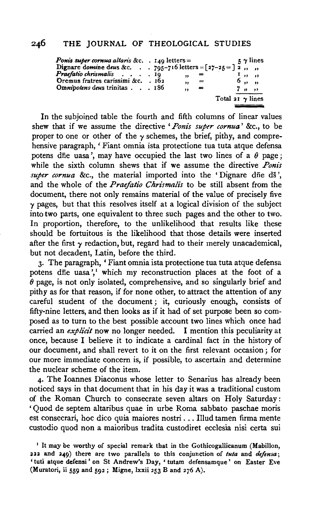# 246 THE JOURNAL OF THEOLOGICAL STUDIES

| Ponis super cornua altaris &c. $\,$ . 140 letters =<br>Dignare domine deus &c. 795-716 letters = $[27-25] = 27$ , ,<br>Praefatio chrismalis  19<br>Oremus fratres carissimi &c. . 162<br>Omnipotens deus trinitas186 | ,,<br>,,<br>, | $=$<br>$=$ | 6,,,<br>$7 \times m$    | $\frac{1}{2}$ $\gamma$ lines<br>$\mathbf{I}$ , , , , |
|----------------------------------------------------------------------------------------------------------------------------------------------------------------------------------------------------------------------|---------------|------------|-------------------------|------------------------------------------------------|
|                                                                                                                                                                                                                      |               |            | Total 21 $\gamma$ lines |                                                      |

In the subjoined table the fourth and fifth columns of linear values shew that if we assume the directive *'Ponis super cornua'* &c., to be proper to one or other of the  $\gamma$  schemes, the brief, pithy, and comprehensive paragraph, ' Fiant omnia ista protectione tua tuta atque defensa potens dne uasa', may have occupied the last two lines of a  $\theta$  page; while the sixth column shews that if we assume the directive *Ponis super cornua* &c., the material imported into the 'Dignare dne ds', and the whole of the *Praefatio Chrismalis* to be still absent from the document, there not only remains material of the value of precisely five *y* pages, but that this resolves itself at a logical division of the subject into two parts, one equivalent to three such pages and the other to two. In proportion, therefore, to the unlikelihood that results like these should be fortuitous is the likelihood that those details were inserted after the first  $\gamma$  redaction, but, regard had to their merely unacademical, but not decadent, Latin, before the third.

3· The paragraph, ' Fiant omnia ista protectione tua tuta atque defensa potens dne uasa',<sup>1</sup> which my reconstruction places at the foot of a  $\hat{\theta}$  page, is not only isolated, comprehensive, and so singularly brief and pithy as for that reason, if for none other, to attract the attention of any careful student of the document ; it, curiously enough, consists of fifty-nine letters, and then looks as if it had of set purpose been so composed as to turn to the best possible account two lines which once had carried an *explicit* now no longer needed. I mention this peculiarity at once, because I believe it to indicate a cardinal fact in the history of our document, and shall revert to it on the first relevant occasion; for our more immediate concern is, if possible, to ascertain and determine the nuclear scheme of the item.

4· The Ioannes Diaconus whose letter to Senarius has already been noticed says in that document that in his day it was a traditional custom of the Roman Church to consecrate seven altars on Holy Saturday : 'Quod de septem altaribus quae in urbe Roma sabbato paschae moris est consecrari, hoc dico quia maiores nostri ... Illud tamen firma mente custodio quod non a maioribus tradita custodiret ecclesia nisi certa sui

<sup>&</sup>lt;sup>1</sup> It may be worthy of special remark that in the Gothicogallicanum (Mabillon, 222 and 249) there are two parallels to this conjunction of *tuta* and *difensa;*  'tuti atque defensi' on St Andrew's Day, 'tutam defensamque' on Easter Eve (Muratori, ii 559 and 592; Migne, lxxii 253 B and 276 A).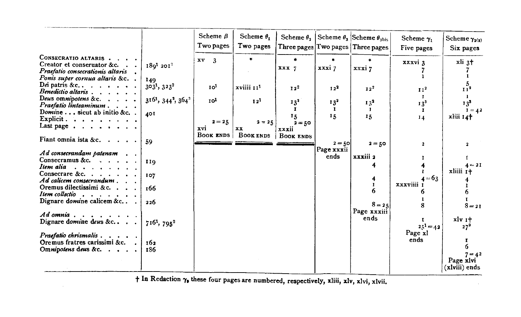|                                                                   |                                                        | Scheme $B$<br>Two pages | Scheme $\theta_1$<br>Two pages | Scheme $\theta$ ,    |               | Scheme $\theta_3$ Scheme $\theta_{\text{abs}}$<br>Three pages $T$ wo pages $T$ hree pages | Scheme $\gamma_i$<br>Five pages | Scheme $\gamma_{2(3)}$<br>Six pages |
|-------------------------------------------------------------------|--------------------------------------------------------|-------------------------|--------------------------------|----------------------|---------------|-------------------------------------------------------------------------------------------|---------------------------------|-------------------------------------|
| CONSECRATIO ALTARIS.                                              |                                                        | $x v = 3$               | ¥                              | $\bullet$            | ٠             |                                                                                           | xxxvi 3                         | xli 3 <sup>+</sup>                  |
| Creator et conseruator &c                                         | $1801$ 201 <sup>2</sup>                                |                         |                                | XXX 7                | xxxi7         | xxxi7                                                                                     |                                 |                                     |
| Praefatio consecrationis altaris<br>Ponis super cornua altaris &c |                                                        |                         |                                |                      |               |                                                                                           |                                 |                                     |
| Dei patris & c., $\ldots$ , $\ldots$ , $\ldots$                   | 149                                                    |                         |                                |                      |               |                                                                                           |                                 |                                     |
| Benedictio altaris                                                | $3031$ , $3232$                                        | Io <sup>1</sup>         | xviiii 11 <sup>1</sup>         | 12 <sup>2</sup>      | $12^{2}$      | I2 <sup>2</sup>                                                                           | 11 <sup>2</sup>                 | 11 <sup>2</sup>                     |
| Deus omnipotens & c. $\ldots$ .                                   | 316 <sup>1</sup> , 344 <sup>2</sup> , 364 <sup>3</sup> | 10 <sup>1</sup>         | 12 <sup>1</sup>                |                      |               |                                                                                           | $\mathbf{I}$                    | -1.                                 |
| Praefatio linteaminum                                             |                                                        |                         |                                | 13 <sup>2</sup><br>Ť | $13^{2}$<br>1 | $13^{2}$                                                                                  | 13 <sup>3</sup>                 | 13 <sup>3</sup>                     |
| Domine sicut ab initio &c. .                                      | 40I                                                    |                         |                                | 15                   | 15            | л<br>15                                                                                   | х                               | $1 = 42$                            |
| Explicit. $\cdots$                                                |                                                        | $2 = 25$                | $2 - 25$                       | $2 = 50$             |               |                                                                                           | 14                              | xliii 14 <sup>+</sup>               |
| Last page $\cdots$                                                |                                                        | xvi                     | <b>XX</b>                      | xxxii                |               |                                                                                           |                                 |                                     |
|                                                                   |                                                        | BOOK ENDS               | <b>BOOK ENDS</b>               | <b>BOOK ENDS</b>     |               |                                                                                           |                                 |                                     |
| Fiant omnia ista &c.                                              | 59                                                     |                         |                                |                      | $2 = 50$      | $2 = 50$                                                                                  | $\mathbf{2}$                    | $\mathbf{z}$                        |
| Ad consecrandam patenam                                           |                                                        |                         |                                |                      | Page xxxii    |                                                                                           |                                 |                                     |
| Consecramus &c. $\cdot \cdot \cdot$                               |                                                        |                         |                                |                      | ends          | xxxiii 2                                                                                  |                                 |                                     |
| Item alia                                                         | 110                                                    |                         |                                |                      |               |                                                                                           |                                 | $4 - 21$                            |
| Consecrare &c. $\cdots$ $\cdots$                                  | 107                                                    |                         |                                |                      |               |                                                                                           |                                 | xliiii 1+                           |
| Ad calicem consecrandum.                                          |                                                        |                         |                                |                      |               |                                                                                           | $4 = 63$<br>xxxviiii i          |                                     |
| Oremus dilectissimi &c                                            | 166                                                    |                         |                                |                      |               | $\mathbf{I}$<br>6                                                                         |                                 |                                     |
| Item collectio                                                    |                                                        |                         |                                |                      |               |                                                                                           |                                 |                                     |
| Dignare domine calicem &c                                         | 226                                                    |                         |                                |                      |               | $8 - 25$                                                                                  |                                 | $8 - 21$                            |
|                                                                   |                                                        |                         |                                |                      |               | Page xxxiii                                                                               |                                 |                                     |
| $Adomnia$ , , , , , , ,                                           |                                                        |                         |                                |                      |               | ends                                                                                      |                                 | xlv 1+                              |
| Dignare domine deus &c                                            | $716^1$ , $795^2$                                      |                         |                                |                      |               |                                                                                           | $25^{1} = 42$                   | $27^{3}$                            |
| $P$ raefatio chrismalis $\ldots$ ,                                |                                                        |                         |                                |                      |               |                                                                                           | Page xl                         |                                     |
| Oremus fratres carissimi &c.                                      | 162                                                    |                         |                                |                      |               |                                                                                           | ends                            |                                     |
| Omnipotens deus &c.                                               | 186                                                    |                         |                                |                      |               |                                                                                           |                                 | 6                                   |
|                                                                   |                                                        |                         |                                |                      |               |                                                                                           |                                 | $7 = 42$                            |
|                                                                   |                                                        |                         |                                |                      |               |                                                                                           |                                 | Page xlvi                           |
|                                                                   |                                                        |                         |                                |                      |               |                                                                                           |                                 | (xlviii) ends                       |

 $\sim$ 

tIn Redaction *'Ya* these four pages are numbered, respectively, xliii, xlv, xlvi, xlvii.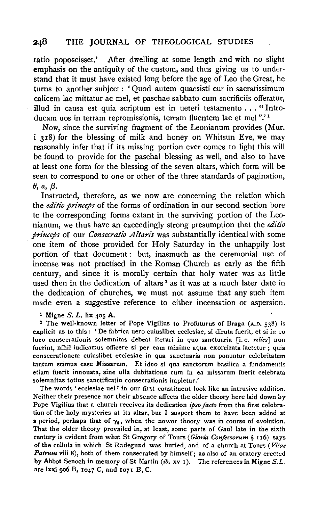#### 248 THE JOURNAL OF THEOLOGICAL STUDIES

ratio poposcisset.' After dwelling at some length and with no slight emphasis on the antiquity of the custom, and thus giving us to understand that it must have existed long before the age of Leo the Great, he turns to another subject: 'Quod autem quaesisti cur in sacratissimum calicem lac mittatur ac mel, et paschae sabbato cum sacrificiis offeratur, illud in causa est quia scriptum est in ueteri testamento ... "Introducam uos in terram repromissionis, terram fluentem lac et mel ".' 1

Now, since the surviving fragment of the Leonianum provides (Mur. i 318) for the blessing of milk and honey on Whitsun Eve, we may reasonably infer that if its missing portion ever comes to light this will be found to provide for the paschal blessing as well, and also to have at least one form for the blessing of the seven altars, which form will be seen to correspond to one or other of the three standards of pagination, (),a, *{3.* 

Instructed, therefore, as we now are concerning the relation which the *editio princeps* of the forms of ordination in our second section bore to the corresponding forms extant in the surviving portion of the Leonianum, we thus have an exceedingly strong presumption that the *editio princeps* of our *Consecratio Altaris* was substantially identical with some one item of those provided for Holy Saturday in the unhappily lost portion of that document: but, inasmuch as the ceremonial use of incense was not practised in the Roman Church as early as the fifth century, and since it is morally certain that holy water was as little used then in the dedication of altars<sup>2</sup> as it was at a much later date in the dedication of churches, we must not assume that any such item made even a suggestive reference to either incensation or aspersion.

<sup>1</sup> Migne S. L. lix 405 A.<br><sup>2</sup> The well-known letter of Pope Vigilius to Profuturus of Braga (A.D. 538) is explicit as to this : 'De fabrica uero cuiuslibet ecclesiae, si diruta fuerit, et si in eo loco consecrationis solemnitas debeat iterari in quo sanctuaria [i.e. *relics*] non fuerint, nihil iudicamus officere si per eam minime aqua exorcizata iactetur ; quia consecrationem cuiuslibet ecclesiae in qua sanctuaria non ponuntur celebritatem tantum scimus esse Missarum. Et ideo si qua sanctorum basilica a fundamentis etiam fuerit innouata, sine ulla dubitatione cum in ea missarum fuerit celebrata solemnitas totius sanctificatio consecrationis impletur.'

The words 'ecclesiae uel' in our first constituent look like an intrusive addition. Neither their presence nor their absence affects the older theory here laid down by Pope Vigilius that a church receives its dedication *ipso facto* from the first celebration of the holy mysteries at its altar, but I suspect them to have been added at a period, perhaps that of  $\gamma_3$ , when the newer theory was in course of evolution. That the older theory prevailed in, at least, some parts of Gaul late in the sixth century is evident from what St Gregory of Tours (*Gloria Confessorum* § 116) says of the cellula in which St Radegund was buried, and of a church at Tours *(Vitae Patrum* viii 8), both of them consecrated by himself; as also of an oratory erected by Abbot Senoch in memory of St Martin (ib. xv 1 ). The references in Migne *S.L.*  are lxxi 906 B, 1047 C, and 1071 B, C.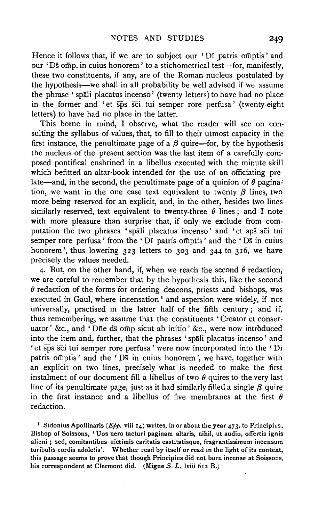Hence it follows that, if we are to subject our 'Di patris omptis' and our 'Ds omp. in cuius honorem' to a stichometrical test-for, manifestly, these two constituents, if any, are of the Roman nucleus postulated by the hypothesis—we shall in all probability be well advised if we assume the phrase 'spali placatus incenso' (twenty letters) to have had no place in the former and 'et sps sci tui semper rore perfusa' (twenty-eight letters) to have had no place in the latter.

This borne in mind, I observe, what the reader will see on consulting the syllabus of values, that, to fill to their utmost capacity in the first instance, the penultimate page of a  $\beta$  quire-for, by the hypothesis the nucleus of the present section was the last item of a carefully composed pontifical enshrined in a libellus executed with the minute skill which befitted an altar-book intended for the use of an officiating prelate—and, in the second, the penultimate page of a quinion of  $\theta$  pagination, we want in the one case text equivalent to twenty  $\beta$  lines, two more being reserved for an explicit, and, in the other, besides two lines similarly reserved, text equivalent to twenty-three  $\theta$  lines; and I note with more pleasure than surprise that, if only we exclude from computation the two phrases 'spali placatus incenso' and 'et sps sci tui semper rore perfusa' from the 'Di patris omptis' and the 'Ds in cuius honorem', thus lowering 323 letters to 303 and 344 to 316, we have precisely the values needed.

4. But, on the other hand, if, when we reach the second  $\theta$  redaction, we are careful to remember that by the hypothesis this, like the second  $\theta$  redaction of the forms for ordering deacons, priests and bishops, was executed in Gaul, where incensation<sup>1</sup> and aspersion were widely, if not universally, practised in the latter half of the fifth century; and if, thus remembering, we assume that the constituents 'Creator et conseruator' &c., and 'Dne ds omp sicut ab initio' &c., were now introduced into the item and, further, that the phrases 'spali placatus incenso' and ' et sps sci tui semper rore perfusa' were now incorporated into the 'Di patris omptis' and the 'Ds in cuius honorem', we have, together with an explicit on two lines, precisely what is needed to make the first instalment of our document fill a libellus of two  $\theta$  quires to the very last line of its penultimate page, just as it had similarly filled a single  $\beta$  quire in the first instance and a libellus of five membranes at the first  $\theta$ redaction.

<sup>1</sup> Sidonius Apollinaris (*Epp.* viii 14) writes, in or about the year 473, to Principius, Bishop of Soissons, 'Uos uero tacturi paginam altaris, nihil, ut audio, offertis ignis alieni ; sed, comitantibus uictimis caritatis castitatisque, fragrantissimum incensum turibulis cordis adoletis '. Whether read by itself or read in the light of its context, this passage seems to prove that though Principius did not burn incense at Soissons, his correspondent at Clermont did. (Migne *S. L.* lviii 612 B.)